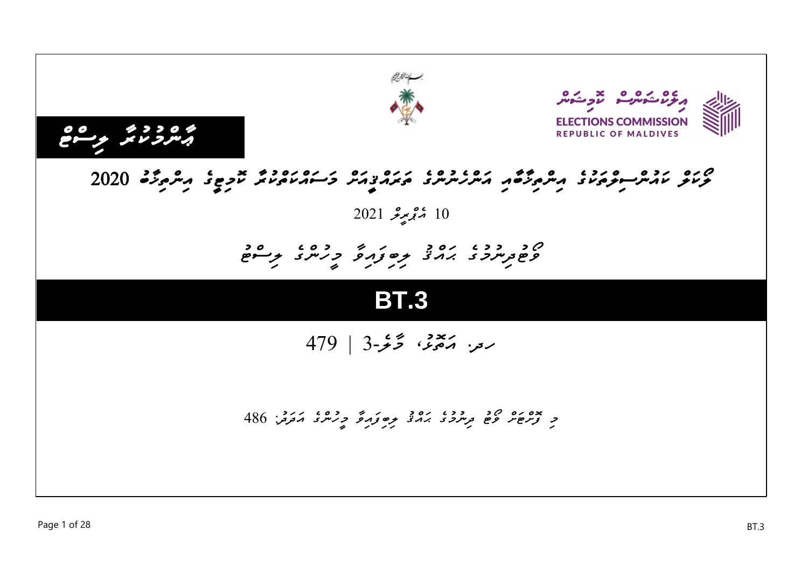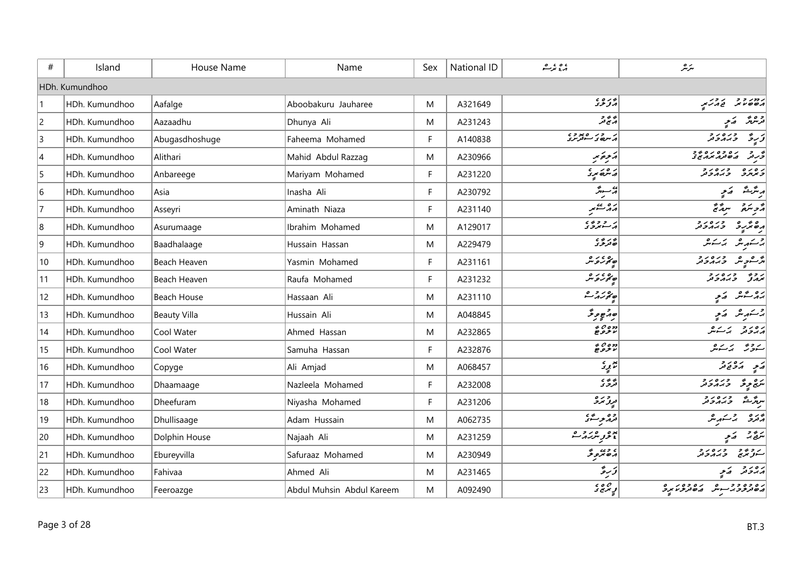| #              | Island         | House Name          | Name                      | Sex       | National ID | ، ه ، ره<br>مربح بمرت                                                           | يترمثر                                                        |
|----------------|----------------|---------------------|---------------------------|-----------|-------------|---------------------------------------------------------------------------------|---------------------------------------------------------------|
|                | HDh. Kumundhoo |                     |                           |           |             |                                                                                 |                                                               |
|                | HDh. Kumundhoo | Aafalge             | Aboobakuru Jauharee       | M         | A321649     | په ره ،<br>پروتور                                                               | 77777<br>ىئ <i>ے ەركە</i> سىيە                                |
| $\overline{c}$ | HDh. Kumundhoo | Aazaadhu            | Dhunya Ali                | M         | A231243     | پر پر و<br>  هر بح قر                                                           | قرشر كمي                                                      |
| $\overline{3}$ | HDh. Kumundhoo | Abugasdhoshuge      | Faheema Mohamed           | F         | A140838     | ر سرور ده بود و پر<br>در سرچار سوفرس                                            | كورة ورەرد                                                    |
| $\overline{4}$ | HDh. Kumundhoo | Alithari            | Mahid Abdul Razzag        | M         | A230966     | وكمترهومر                                                                       | ه و ره وه ره دو<br>گرنر مقرم <i>برم</i> خ                     |
| 5              | HDh. Kumundhoo | Anbareege           | Mariyam Mohamed           | F         | A231220     | ر ٥ پر ٢<br>ډسره بر د                                                           | و پر و پر و<br>تر ټر ټر تعر<br>ر ه ر ه<br><del>ر</del> بربر د |
| $\sqrt{6}$     | HDh. Kumundhoo | Asia                | Inasha Ali                | F         | A230792     | ار<br>مرسور                                                                     | پر شرشہ کر پر                                                 |
| $\overline{7}$ | HDh. Kumundhoo | Asseyri             | Aminath Niaza             | F         | A231140     | اړه چيمبر                                                                       | أرتجه سرقيح                                                   |
| 8              | HDh. Kumundhoo | Asurumaage          | Ibrahim Mohamed           | ${\sf M}$ | A129017     | ر و و د »<br>در سوپرو د                                                         | دە ئەرە دىرەرد                                                |
| $\overline{9}$ | HDh. Kumundhoo | Baadhalaage         | Hussain Hassan            | ${\sf M}$ | A229479     | ء ر د  ء<br>ئەترىژ <sub>ك</sub>                                                 | ج سکھ سی بر کر کھیں                                           |
| 10             | HDh. Kumundhoo | Beach Heaven        | Yasmin Mohamed            | F         | A231161     | ە ئەرەبەر<br>مەمرىرىتىر                                                         | أثر شويد وبره د و                                             |
| 11             | HDh. Kumundhoo | Beach Heaven        | Raufa Mohamed             | F         | A231232     | ە ئەرەبەر<br>مەمرىرىتىر                                                         | ر وه وره رو<br>برمرز وبرمرونر                                 |
| 12             | HDh. Kumundhoo | <b>Beach House</b>  | Hassaan Ali               | M         | A231110     | ە <i>ئادىرى</i><br>س                                                            | پرو ځين کړې                                                   |
| 13             | HDh. Kumundhoo | <b>Beauty Villa</b> | Hussain Ali               | M         | A048845     | عەر ئىتى ئە                                                                     | جەسىمبە ئەمب <sub>ە</sub>                                     |
| 14             | HDh. Kumundhoo | Cool Water          | Ahmed Hassan              | M         | A232865     | $\begin{bmatrix} * & 0 & 0 & 0 \\ 0 & 0 & 0 & 0 \\ 0 & 0 & 0 & 0 \end{bmatrix}$ | أرەر دىرىد                                                    |
| 15             | HDh. Kumundhoo | Cool Water          | Samuha Hassan             | F         | A232876     | دوە ئە<br>  ئامىرى ئ                                                            | ئەجەب ئەسەھ                                                   |
| 16             | HDh. Kumundhoo | Copyge              | Ali Amjad                 | ${\sf M}$ | A068457     | تة بويحه                                                                        | أە ئەرەبە                                                     |
| 17             | HDh. Kumundhoo | Dhaamaage           | Nazleela Mohamed          | F         | A232008     | ره ده ۲<br>ترو ک                                                                | يرچ په پېښور د                                                |
| 18             | HDh. Kumundhoo | Dheefuram           | Niyasha Mohamed           | F         | A231206     | ور و بر ه                                                                       | سوئزشۂ<br>و ر ٥ ر و<br>تر پر تر تر                            |
| 19             | HDh. Kumundhoo | Dhullisaage         | Adam Hussain              | ${\sf M}$ | A062735     | وه <sub>عر</sub> م شو ک                                                         | أروده برحم يثر                                                |
| 20             | HDh. Kumundhoo | Dolphin House       | Najaah Ali                | M         | A231259     | پووړ عربر مه                                                                    | بترة حرم                                                      |
| 21             | HDh. Kumundhoo | Ebureyvilla         | Safuraaz Mohamed          | ${\sf M}$ | A230949     | ، د» د گر                                                                       | د و و و د و د و د                                             |
| 22             | HDh. Kumundhoo | Fahivaa             | Ahmed Ali                 | M         | A231465     | وً رِطَّ                                                                        | پروژو کرم                                                     |
| 23             | HDh. Kumundhoo | Feeroazge           | Abdul Muhsin Abdul Kareem | M         | A092490     | وپرېږ                                                                           | נס כס כב הם הס בס בי הס<br>הס בקיב ב הבי הס בקיב עיקב         |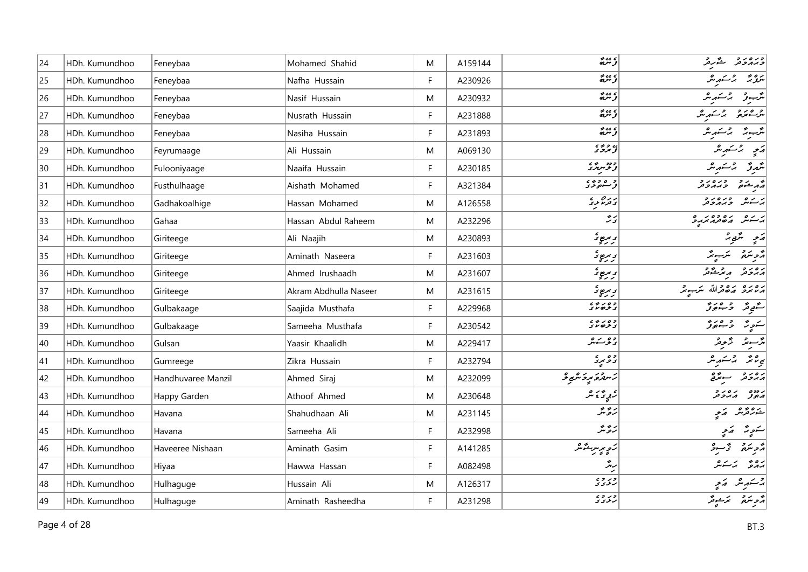| 24 | HDh. Kumundhoo | Feneybaa           | Mohamed Shahid        | M           | A159144 | ی ن ده<br>تو سرده                        | ورەرو شەرقە             |
|----|----------------|--------------------|-----------------------|-------------|---------|------------------------------------------|-------------------------|
| 25 | HDh. Kumundhoo | Feneybaa           | Nafha Hussain         | F           | A230926 | ی ن پر<br>تو سرچ                         | أنتروش برستهرش          |
| 26 | HDh. Kumundhoo | Feneybaa           | Nasif Hussain         | Μ           | A230932 | ی یرو<br>تو سرده                         | ىئەسىرى ئەسكىرىنى       |
| 27 | HDh. Kumundhoo | Feneybaa           | Nusrath Hussain       | F           | A231888 | ی یں بر<br>تو سرے                        | يرەردە جەسكىرىش         |
| 28 | HDh. Kumundhoo | Feneybaa           | Nasiha Hussain        | F           | A231893 | ی نړۍ<br>تو سر <i>ه</i>                  | للرسور الاسكرالل        |
| 29 | HDh. Kumundhoo | Feyrumaage         | Ali Hussain           | M           | A069130 | در و بر د<br>تو بورس ی                   | ە ئەسىر ئىسكىر بىر      |
| 30 | HDh. Kumundhoo | Fulooniyaage       | Naaifa Hussain        | F           | A230185 | و دو په په<br>نو څرسرمر <sub>ۍ</sub>     | شمەر ئەسىر شەھ          |
| 31 | HDh. Kumundhoo | Fusthulhaage       | Aishath Mohamed       | F           | A321384 | د د د د د ،<br>توسع د د                  | د دره دره در در د       |
| 32 | HDh. Kumundhoo | Gadhakoalhige      | Hassan Mohamed        | M           | A126558 | ر رہ<br>ئ توما <sub>عر</sub> ى           | ير کے مرد د             |
| 33 | HDh. Kumundhoo | Gahaa              | Hassan Abdul Raheem   | M           | A232296 | ىرچ                                      | بر رو ده ده در و        |
| 34 | HDh. Kumundhoo | Giriteege          | Ali Naajih            | M           | A230893 | <sub>ی مرجع</sub> ځ<br>  <u>سرچ</u> ځ    | ړې شور                  |
| 35 | HDh. Kumundhoo | Giriteege          | Aminath Naseera       | F           | A231603 | <sub>ی مربع</sub> ځ<br>  <u>سر س</u> م   | مُرْجَدَ مَنْ مِنْ مِنْ |
| 36 | HDh. Kumundhoo | Giriteege          | Ahmed Irushaadh       | M           | A231607 | ا<br>پرسرچونه                            |                         |
| 37 | HDh. Kumundhoo | Giriteege          | Akram Abdhulla Naseer | M           | A231615 | ۍ مربو ځ<br>تر تر په                     | رە رە رە دالله ترجيد    |
| 38 | HDh. Kumundhoo | Gulbakaage         | Saajida Musthafa      | F           | A229968 | وه رپر د<br>د نژه نړ                     | سەپەتر تەسبور           |
| 39 | HDh. Kumundhoo | Gulbakaage         | Sameeha Musthafa      | F.          | A230542 | و ه رو »<br>د نوه مړي                    | سَرِيرٌ وَ سِبْرُوْ     |
| 40 | HDh. Kumundhoo | Gulsan             | Yaasir Khaalidh       | M           | A229417 | د و پەيە<br>ئەغرىسىز                     | أثر سوير المجموعر       |
| 41 | HDh. Kumundhoo | Gumreege           | Zikra Hussain         | F           | A232794 | و ه<br>د څه مود                          | ى ئەنگە بر شەمرىش       |
| 42 | HDh. Kumundhoo | Handhuvaree Manzil | Ahmed Siraj           | M           | A232099 | ر <i>سرور کو پر د</i> شر <sub>یح</sub> څ |                         |
| 43 | HDh. Kumundhoo | Happy Garden       | Athoof Ahmed          | M           | A230648 | ى پەرتە كەنگە<br>مەنبە كەنگە             | ر دوه د ه ر و د         |
| 44 | HDh. Kumundhoo | Havana             | Shahudhaan Ali        | M           | A231145 | ىر ئەمە<br>سىرىپىتىر                     | شرەۋىر كەي              |
| 45 | HDh. Kumundhoo | Havana             | Sameeha Ali           | F           | A232998 | ىر ئەشر<br>سىرىگە                        | سكويت الكامي            |
| 46 | HDh. Kumundhoo | Haveeree Nishaan   | Aminath Gasim         | $\mathsf F$ | A141285 | ائەھ بىرسرىشەش<br>ئىقتىقىس               | أأروبتهم الأسوفر        |
| 47 | HDh. Kumundhoo | Hiyaa              | Hawwa Hassan          | F.          | A082498 | رېژ                                      | رەپ رىك                 |
| 48 | HDh. Kumundhoo | Hulhaguge          | Hussain Ali           | M           | A126317 | و ر و ،<br>رى د د                        | يز سکه شهر اورکانو      |
| 49 | HDh. Kumundhoo | Hulhaguge          | Aminath Rasheedha     | F           | A231298 | و ر و ،<br>رى ى                          | أرتجه سيتحفظ مترسوقير   |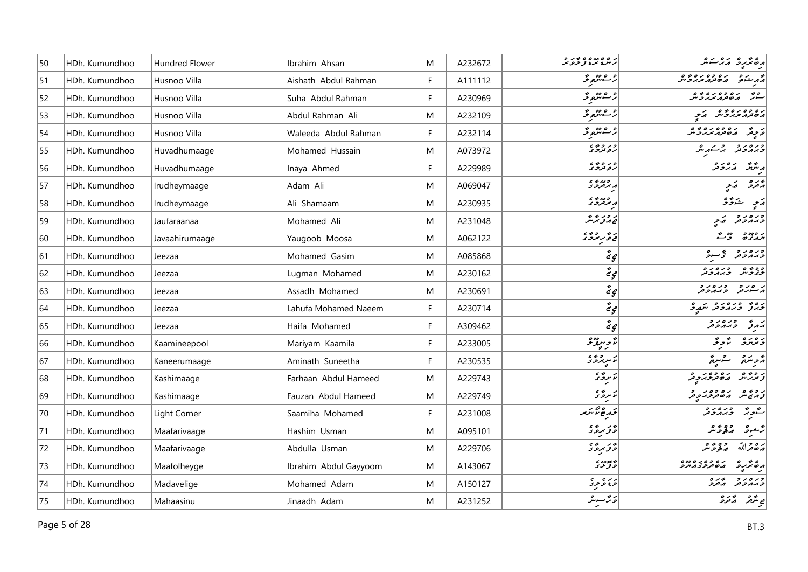| 50 | HDh. Kumundhoo | <b>Hundred Flower</b> | Ibrahim Ahsan         | M  | A232672 | ر ۵ ه ه ۵ ه ه و د و<br>رس نه مر نه توخره مر | رەپرىر دىن ئىر                                                   |
|----|----------------|-----------------------|-----------------------|----|---------|---------------------------------------------|------------------------------------------------------------------|
| 51 | HDh. Kumundhoo | Husnoo Villa          | Aishath Abdul Rahman  | F. | A111112 | ر مەمىر<br>ر سەمىرە بۇ                      | ر ه و ه ر ه د ه<br>پره تربر <del>ت</del> ربر تر<br>و<br>پر د شوې |
| 52 | HDh. Kumundhoo | Husnoo Villa          | Suha Abdul Rahman     | F. | A230969 | <sup>د</sup> ر مەددىدىگە                    | ر ه و ه د ه د ه<br>پره تر بر تر تر                               |
| 53 | HDh. Kumundhoo | Husnoo Villa          | Abdul Rahman Ali      | M  | A232109 | ج مەمبر <sub>ى</sub> ئۇ                     | גם כם גם כי הב                                                   |
| 54 | HDh. Kumundhoo | Husnoo Villa          | Waleeda Abdul Rahman  | F  | A232114 | ر مەير <sub>ى ب</sub> ۇ                     | ره وه ره د ه<br>پره تر پر <i>پر چ</i> س<br>ءَ وِتَرُ             |
| 55 | HDh. Kumundhoo | Huvadhumaage          | Mohamed Hussain       | M  | A073972 | و ر و د »<br>ر و ترتر <sub>ک</sub>          | ورەرو ئەسەر                                                      |
| 56 | HDh. Kumundhoo | Huvadhumaage          | Inaya Ahmed           | F  | A229989 | و ر و د ،<br>ره ترو د                       | پر شرش مرکز در د                                                 |
| 57 | HDh. Kumundhoo | Irudheymaage          | Adam Ali              | M  | A069047 | و دره بو د<br>در جولتور و                   | أزوه أرمي                                                        |
| 58 | HDh. Kumundhoo | Irudheymaage          | Ali Shamaam           | M  | A230935 | و پره پر پر<br>در موتور و ک                 | أرزمي المشروح                                                    |
| 59 | HDh. Kumundhoo | Jaufaraanaa           | Mohamed Ali           | M  | A231048 | ىر <i>دىن پى</i> گە                         | ورەرو كەي                                                        |
| 60 | HDh. Kumundhoo | Javaahirumaage        | Yaugoob Moosa         | M  | A062122 | پر څر پر چري<br>  پر ځر پر چر <sub>چر</sub> | ر دود و در ع                                                     |
| 61 | HDh. Kumundhoo | Jeezaa                | Mohamed Gasim         | M  | A085868 | ي<br>ي                                      | ورەرو گەسو                                                       |
| 62 | HDh. Kumundhoo | Jeezaa                | Lugman Mohamed        | M  | A230162 | يم پخ                                       | ووځ وره رو<br>مرتح شر وبرمان                                     |
| 63 | HDh. Kumundhoo | Jeezaa                | Assadh Mohamed        | M  | A230691 | م مح<br>مح                                  | ر قار ورەرد                                                      |
| 64 | HDh. Kumundhoo | Jeezaa                | Lahufa Mohamed Naeem  | F  | A230714 | ي <sub>ج</sub> پخ                           | رەپ درەرد شھرى                                                   |
| 65 | HDh. Kumundhoo | Jeezaa                | Haifa Mohamed         | F  | A309462 | ي<br>محي                                    | بروتر وبرودر                                                     |
| 66 | HDh. Kumundhoo | Kaamineepool          | Mariyam Kaamila       | F  | A233005 | ر<br>ئاپەسىز بىر                            | ويوره عمجدمى                                                     |
| 67 | HDh. Kumundhoo | Kaneerumaage          | Aminath Suneetha      | F  | A230535 | ر<br>مأسر پر ژی                             | ومحر متعرفة المستسبق                                             |
| 68 | HDh. Kumundhoo | Kashimaage            | Farhaan Abdul Hameed  | M  | A229743 | ر<br>ما موتژی                               | ر وو ما ما د ووړ د د                                             |
| 69 | HDh. Kumundhoo | Kashimaage            | Fauzan Abdul Hameed   | M  | A229749 | لأبرمجء                                     | ر د په مره ده د ر د                                              |
| 70 | HDh. Kumundhoo | Light Corner          | Saamiha Mohamed       | F  | A231008 | ائەرەم ئىر<br>-                             | ستورژ<br>و ره ر د<br><i>و پر</i> و تر                            |
| 71 | HDh. Kumundhoo | Maafarivaage          | Hashim Usman          | M  | A095101 | ۇ ئەر بەر<br>3 ئەرمۇ ئ                      | گرشو د<br>و و پر عر                                              |
| 72 | HDh. Kumundhoo | Maafarivaage          | Abdulla Usman         | M  | A229706 | ۇ ئەسرەتى<br>مەس                            | ەھىراللە<br>و و پر مر<br>مرفر <del>پ</del> ر                     |
| 73 | HDh. Kumundhoo | Maafolheyge           | Ibrahim Abdul Gayyoom | M  | A143067 | په پوړ، ،<br>و تو لر و                      | ەرھەترىر <sup>ى</sup>                                            |
| 74 | HDh. Kumundhoo | Madavelige            | Mohamed Adam          | M  | A150127 | ر ر ،<br>  <del>ر</del> ، حر بر             | و رە ر د<br><i>د بە</i> پەر<br>پژ <sub>گر</sub> ه<br>د ترو       |
| 75 | HDh. Kumundhoo | Mahaasinu             | Jinaadh Adam          | M  | A231252 | ئەش <sup>ىر</sup> سەيتى<br>مەسر             | يې سرگټر کې تر تر تر تر تر                                       |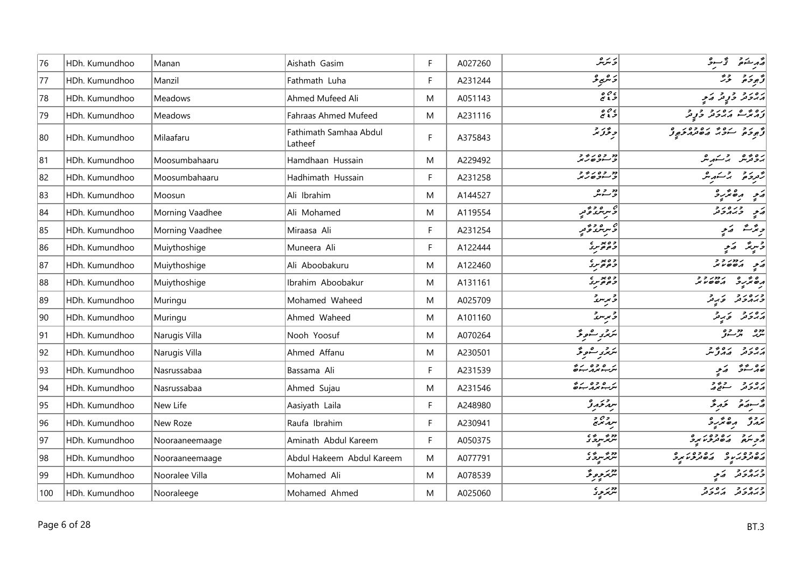| 76  | HDh. Kumundhoo | Manan           | Aishath Gasim                     | F         | A027260 | ىر بەر<br>جەنىزىىر                                                                       | $\frac{1}{2}$<br>$\frac{1}{2}$<br>$\frac{1}{2}$<br>$\frac{1}{2}$<br>$\frac{1}{2}$<br>$\frac{1}{2}$<br>$\frac{1}{2}$<br>$\frac{1}{2}$<br>$\frac{1}{2}$<br>$\frac{1}{2}$ |
|-----|----------------|-----------------|-----------------------------------|-----------|---------|------------------------------------------------------------------------------------------|------------------------------------------------------------------------------------------------------------------------------------------------------------------------|
| 77  | HDh. Kumundhoo | Manzil          | Fathmath Luha                     | F         | A231244 | ۇ ئىرى ۋ                                                                                 | و ده دو                                                                                                                                                                |
| 78  | HDh. Kumundhoo | Meadows         | Ahmed Mufeed Ali                  | M         | A051143 | $\overset{o}{\mathcal{E}} \overset{o}{\mathcal{E}} \overset{c}{\mathcal{S}}$             | ره رو د و د کرد ک                                                                                                                                                      |
| 79  | HDh. Kumundhoo | <b>Meadows</b>  | <b>Fahraas Ahmed Mufeed</b>       | M         | A231116 | $\overset{o}{\underset{\smile}{\mathcal{E}}}\overset{o}{\underset{\smile}{\mathcal{E}}}$ | נו מים גוונדי קבית.<br>צווי מ"א ה"גבית בקבית                                                                                                                           |
| 80  | HDh. Kumundhoo | Milaafaru       | Fathimath Samhaa Abdul<br>Latheef | F         | A375843 | ج نَحْرَى تَرُ                                                                           | و دو ده و ده ده ده ده و                                                                                                                                                |
| 81  | HDh. Kumundhoo | Moosumbahaaru   | Hamdhaan Hussain                  | ${\sf M}$ | A229492 | و وه ده د                                                                                | رەپەر برىتىرىر                                                                                                                                                         |
| 82  | HDh. Kumundhoo | Moosumbahaaru   | Hadhimath Hussain                 | F         | A231258 | دو وه رو د<br>و سرو <i>ه ر</i> بر                                                        | كحدرة بالتمهير                                                                                                                                                         |
| 83  | HDh. Kumundhoo | Moosun          | Ali Ibrahim                       | ${\sf M}$ | A144527 | دد حمير                                                                                  |                                                                                                                                                                        |
| 84  | HDh. Kumundhoo | Morning Vaadhee | Ali Mohamed                       | M         | A119554 | <i>ءِ سر سري</i> گرمي                                                                    | أور وبرودرو                                                                                                                                                            |
| 85  | HDh. Kumundhoo | Morning Vaadhee | Miraasa Ali                       | F         | A231254 | م<br>د سر سر محمد محمد محمد الله                                                         |                                                                                                                                                                        |
| 86  | HDh. Kumundhoo | Muiythoshige    | Muneera Ali                       | F         | A122444 | و ه بر پر<br>حرمو مړي                                                                    |                                                                                                                                                                        |
| 87  | HDh. Kumundhoo | Muiythoshige    | Ali Aboobakuru                    | M         | A122460 | و ه بر پر<br>حرمو مړي                                                                    |                                                                                                                                                                        |
| 88  | HDh. Kumundhoo | Muiythoshige    | Ibrahim Aboobakur                 | M         | A131161 | و ه بر پر<br>حرم <i>و م</i> ر <sub>ک</sub>                                               | ەھ ئۈر ۋ<br>77777                                                                                                                                                      |
| 89  | HDh. Kumundhoo | Muringu         | Mohamed Waheed                    | M         | A025709 | 3 برسر                                                                                   | ورەر دىر د                                                                                                                                                             |
| 90  | HDh. Kumundhoo | Muringu         | Ahmed Waheed                      | M         | A101160 | 3 مرسر ح                                                                                 | גפיב בגב                                                                                                                                                               |
| 91  | HDh. Kumundhoo | Narugis Villa   | Nooh Yoosuf                       | M         | A070264 | ىئەتترى <sub>ر</sub> سىن <sub>قو</sub> قە                                                | دده دد ده<br>سربر مرسو                                                                                                                                                 |
| 92  | HDh. Kumundhoo | Narugis Villa   | Ahmed Affanu                      | M         | A230501 | ىئر <i>پرېمو</i> سىنتو ئى                                                                | أرەر دە دەر                                                                                                                                                            |
| 93  | HDh. Kumundhoo | Nasrussabaa     | Bassama Ali                       | F         | A231539 | ر ۱۵۶۵ کړي<br>سرب عرور ښورت                                                              | لەر ئەختىر كەبچە                                                                                                                                                       |
| 94  | HDh. Kumundhoo | Nasrussabaa     | Ahmed Sujau                       | ${\sf M}$ | A231546 | ىر مەم 20 مەك                                                                            | ره رح و در<br>درگار در سونق                                                                                                                                            |
| 95  | HDh. Kumundhoo | New Life        | Aasiyath Laila                    | F         | A248980 | سرمز ځرمر ژ                                                                              | ة سوة وَرِدْ                                                                                                                                                           |
| 96  | HDh. Kumundhoo | New Roze        | Raufa Ibrahim                     | F         | A230941 | $\frac{202}{200}$                                                                        | أبروز رەبرىر                                                                                                                                                           |
| 97  | HDh. Kumundhoo | Nooraaneemaage  | Aminath Abdul Kareem              | F         | A050375 | دو پر پره<br>سرچرسو د                                                                    | ה נדי נסיפסני ס                                                                                                                                                        |
| 98  | HDh. Kumundhoo | Nooraaneemaage  | Abdul Hakeem Abdul Kareem         | M         | A077791 | دو پر پره<br>سرپر سرچري                                                                  | נפכפי פי נפכפי פי<br>הסתיקי הסתינות                                                                                                                                    |
| 99  | HDh. Kumundhoo | Nooralee Villa  | Mohamed Ali                       | M         | A078539 | لترىر پر پەر<br>كەنتىرىسى                                                                | ورەرد كەي                                                                                                                                                              |
| 100 | HDh. Kumundhoo | Nooraleege      | Mohamed Ahmed                     | M         | A025060 | دور<br>مرتز پور                                                                          | כנסנכ נסנכ<br>כגהכת הגבת                                                                                                                                               |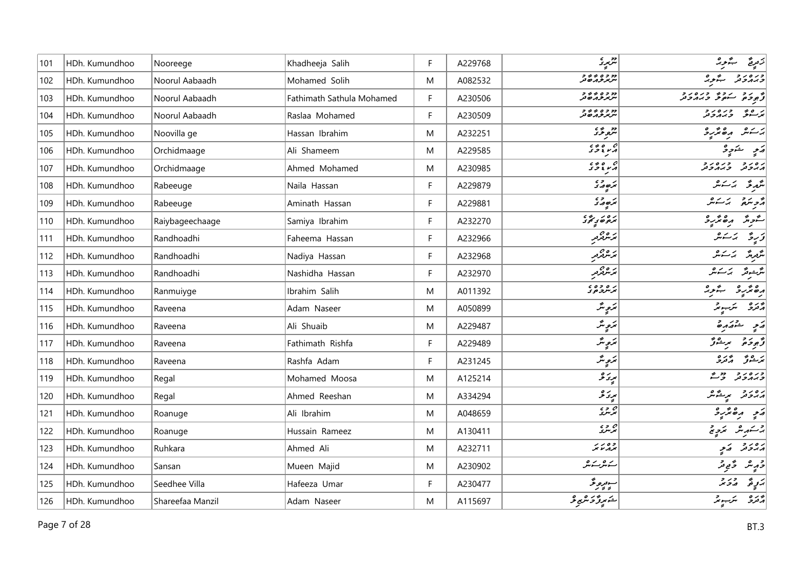| 101 | HDh. Kumundhoo | Nooreege         | Khadheeja Salih           | F           | A229768 | دد<br>مترسری                         | زَمِرِجَ --ِدُوِرُ                                                 |
|-----|----------------|------------------|---------------------------|-------------|---------|--------------------------------------|--------------------------------------------------------------------|
| 102 | HDh. Kumundhoo | Noorul Aabaadh   | Mohamed Solih             | M           | A082532 | دد د ه ه ه و د<br>سرپر پر ځه تر      | ورەرو ئېچ                                                          |
| 103 | HDh. Kumundhoo | Noorul Aabaadh   | Fathimath Sathula Mohamed | F           | A230506 | دد د ه ه په د<br>سربر پر ځه تر       | و د د د دو دره د د                                                 |
| 104 | HDh. Kumundhoo | Noorul Aabaadh   | Raslaa Mohamed            | F           | A230509 | دد د ه ه بر د<br>سربر پره تعر        | ىر قەشق ئەرەر دەرد                                                 |
| 105 | HDh. Kumundhoo | Noovilla ge      | Hassan Ibrahim            | M           | A232251 | دد<br>سره څري                        | بَرَسَمْنُ مِرْھَ بَرْبِرْدُ                                       |
| 106 | HDh. Kumundhoo | Orchidmaage      | Ali Shameem               | M           | A229585 |                                      | أركمتم المستورد                                                    |
| 107 | HDh. Kumundhoo | Orchidmaage      | Ahmed Mohamed             | M           | A230985 | ه وه وه<br>د سره <del>د</del> د      | و ر ه ر و<br><i>و پر</i> پر تر<br>بر 2 د ج<br>مربر <del>5</del> فر |
| 108 | HDh. Kumundhoo | Rabeeuge         | Naila Hassan              | F           | A229879 | پر چوه د                             | لتمرق الاستانر                                                     |
| 109 | HDh. Kumundhoo | Rabeeuge         | Aminath Hassan            | F           | A229881 | بروء                                 | ړٌ پر سَر پر کاملا                                                 |
| 110 | HDh. Kumundhoo | Raiybageechaage  | Samiya Ibrahim            | $\mathsf F$ | A232270 | ره در پره<br>بروه <sub>کړ</sub> نو د | ستمرش<br>برە ئۆرۈ                                                  |
| 111 | HDh. Kumundhoo | Randhoadhi       | Faheema Hassan            | F           | A232966 | برهيرمر                              | $\frac{1}{\sum\limits_{i=1}^{n}j_i}$<br>برَسەمىر                   |
| 112 | HDh. Kumundhoo | Randhoadhi       | Nadiya Hassan             | F           | A232968 | ابرءة                                | لترفرانش الكاسكالل                                                 |
| 113 | HDh. Kumundhoo | Randhoadhi       | Nashidha Hassan           | F           | A232970 | برەجر                                | برسەمىر<br>مگرىشوتگر<br>مر                                         |
| 114 | HDh. Kumundhoo | Ranmuiyge        | Ibrahim Salih             | M           | A011392 | ر ۵ و ۵ و<br>برنتر <del>و</del> تو ی | ەرھەترىر <sup>ى</sup><br>سەّمەر                                    |
| 115 | HDh. Kumundhoo | Raveena          | Adam Naseer               | M           | A050899 | ىئەءپەتتر                            | أوره مرسومر                                                        |
| 116 | HDh. Kumundhoo | Raveena          | Ali Shuaib                | M           | A229487 | برَءٍ بَرَّ                          |                                                                    |
| 117 | HDh. Kumundhoo | Raveena          | Fathimath Rishfa          | F           | A229489 | ىر<br>مۇ <sub>س</sub> چە مىگر        | و مر د<br>گرمونه م<br>ىرىشۇ<br>ب                                   |
| 118 | HDh. Kumundhoo | Raveena          | Rashfa Adam               | F           | A231245 | ىئەء بىگە                            | بزيشوش<br>پر ہ<br>مرکز                                             |
| 119 | HDh. Kumundhoo | Regal            | Mohamed Moosa             | M           | A125214 | ىپرىز بۇ                             | ورەر دور                                                           |
| 120 | HDh. Kumundhoo | Regal            | Ahmed Reeshan             | M           | A334294 | ىپرىمىگە                             | أرەر ئەيشەر                                                        |
| 121 | HDh. Kumundhoo | Roanuge          | Ali Ibrahim               | M           | A048659 | ہ و ،<br>برس                         |                                                                    |
| 122 | HDh. Kumundhoo | Roanuge          | Hussain Rameez            | M           | A130411 | ہ و ،<br>برسر                        | بر سنهر مرکز بر دید                                                |
| 123 | HDh. Kumundhoo | Ruhkara          | Ahmed Ali                 | M           | A232711 | د ه ر ر<br>مرد با مر                 | رەرد كەي                                                           |
| 124 | HDh. Kumundhoo | Sansan           | Mueen Majid               | M           | A230902 | ئەنگەرى <i>ش</i>                     | و مه گه د گرونگر<br>موس                                            |
| 125 | HDh. Kumundhoo | Seedhee Villa    | Hafeeza Umar              | $\mathsf F$ | A230477 | سەدرە ئۇ<br><u>ئەس</u> ىر            | برَوٍ پُر<br>ەرىر                                                  |
| 126 | HDh. Kumundhoo | Shareefaa Manzil | Adam Naseer               | M           | A115697 | ىش <i>ە پرۇ دى</i> گىرى ئى           | أروده الكرسوند                                                     |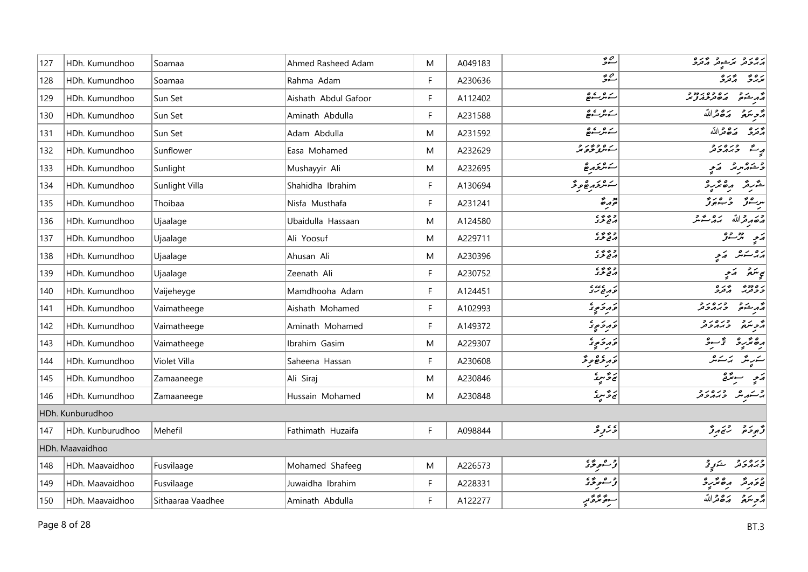| 127 | HDh. Kumundhoo   | Soamaa            | Ahmed Rasheed Adam   | M  | A049183 | مشوتح                                          | ره د د کرخونگر مرکزی                                    |
|-----|------------------|-------------------|----------------------|----|---------|------------------------------------------------|---------------------------------------------------------|
| 128 | HDh. Kumundhoo   | Soamaa            | Rahma Adam           | F  | A230636 | حيز                                            | ره په په ده<br>بربرد گرور                               |
| 129 | HDh. Kumundhoo   | Sun Set           | Aishath Abdul Gafoor | F  | A112402 | ے م <i>ثر کے مج</i>                            |                                                         |
| 130 | HDh. Kumundhoo   | Sun Set           | Aminath Abdulla      | F. | A231588 | ے م <i>ثر ب</i> ے صح                           | وحريتهم وكالحدالله                                      |
| 131 | HDh. Kumundhoo   | Sun Set           | Adam Abdulla         | Μ  | A231592 | سەمىر يەھ                                      | وتره وكامرالله                                          |
| 132 | HDh. Kumundhoo   | Sunflower         | Easa Mohamed         | M  | A232629 | ر په وور و<br>سرمبر څونو                       | ار مشتر<br>ا<br>و ره ر د<br><i>د ب</i> رگرفر            |
| 133 | HDh. Kumundhoo   | Sunlight          | Mushayyir Ali        | Μ  | A232695 | سەمىزىرغ                                       | و دورو کړ                                               |
| 134 | HDh. Kumundhoo   | Sunlight Villa    | Shahidha Ibrahim     | F  | A130694 | يەشرىئەر ھ <sub>ى ب</sub> ۇ                    | شرير رەبررو                                             |
| 135 | HDh. Kumundhoo   | Thoibaa           | Nisfa Musthafa       | F  | A231241 | ببزرة                                          | سرسوش ورمانه                                            |
| 136 | HDh. Kumundhoo   | Ujaalage          | Ubaidulla Hassaan    | Μ  | A124580 | و ۶ پر د<br>پر تع مو ی                         | وتحصر فدالله بروكر                                      |
| 137 | HDh. Kumundhoo   | Ujaalage          | Ali Yoosuf           | M  | A229711 | و ۵ ۵ ز<br>پرې مرد                             | $\begin{vmatrix} 0 & 2 & 2 \\ 3 & -2 & 2 \end{vmatrix}$ |
| 138 | HDh. Kumundhoo   | Ujaalage          | Ahusan Ali           | M  | A230396 | و ۵ ۵ ر<br>پر تع مر و                          | بره په په په په                                         |
| 139 | HDh. Kumundhoo   | Ujaalage          | Zeenath Ali          | F  | A230752 | و ۵ ۵ م<br>  در ح مر د                         | پې سره په کړې                                           |
| 140 | HDh. Kumundhoo   | Vaijeheyge        | Mamdhooha Adam       | F. | A124451 |                                                | رەددە پرە                                               |
| 141 | HDh. Kumundhoo   | Vaimatheege       | Aishath Mohamed      | F  | A102993 | ۇ مەر ئەم<br>ئ                                 | و دره دره دره<br>درخوم وبرود                            |
| 142 | HDh. Kumundhoo   | Vaimatheege       | Aminath Mohamed      | F  | A149372 | ى<br>مۇر خ <sub>ەم</sub> ى                     | 21012 2121                                              |
| 143 | HDh. Kumundhoo   | Vaimatheege       | Ibrahim Gasim        | M  | A229307 | ئەر ئەم <sub>ۇ</sub> ئ                         | ەھترىرى ئ <sup>ې</sup> سىرى<br>رەھترىرى ئ               |
| 144 | HDh. Kumundhoo   | Violet Villa      | Saheena Hassan       | F  | A230608 | ۇ بر ۋە مۇ<br>مەر ئۇھ                          | $\frac{1}{2\sqrt{2}}$                                   |
| 145 | HDh. Kumundhoo   | Zamaaneege        | Ali Siraj            | M  | A230846 | ىر ئ <sup>ە</sup> سىرى<br>ئ                    | أوسمع المسترجين                                         |
| 146 | HDh. Kumundhoo   | Zamaaneege        | Hussain Mohamed      | M  | A230848 | ئە ئەسرى<br>ئ                                  | وكرمر ورورو                                             |
|     | HDh. Kunburudhoo |                   |                      |    |         |                                                |                                                         |
| 147 | HDh. Kunburudhoo | Mehefil           | Fathimath Huzaifa    | F  | A098844 | د ئرو و                                        | رُّمُودَةْ رُبَّ رُوَّ                                  |
|     | HDh. Maavaidhoo  |                   |                      |    |         |                                                |                                                         |
| 148 | HDh. Maavaidhoo  | Fusvilaage        | Mohamed Shafeeg      | M  | A226573 | ۇ ش <sub>ى</sub> رىچى                          | ورەر د شرژ                                              |
| 149 | HDh. Maavaidhoo  | Fusvilaage        | Juwaidha Ibrahim     | F  | A228331 | ۇ ش <sub>ەرى</sub> دى<br>ك                     | ە ئەتەر ۋ<br>قرى كەرىتر<br>م                            |
| 150 | HDh. Maavaidhoo  | Sithaaraa Vaadhee | Aminath Abdulla      | F  | A122277 | سوە ئەڭرىقىمىيە<br>سوە ئىزىق <sup>ى</sup> مىيە | مُحرَّسَهِ مَصْعَراللّه                                 |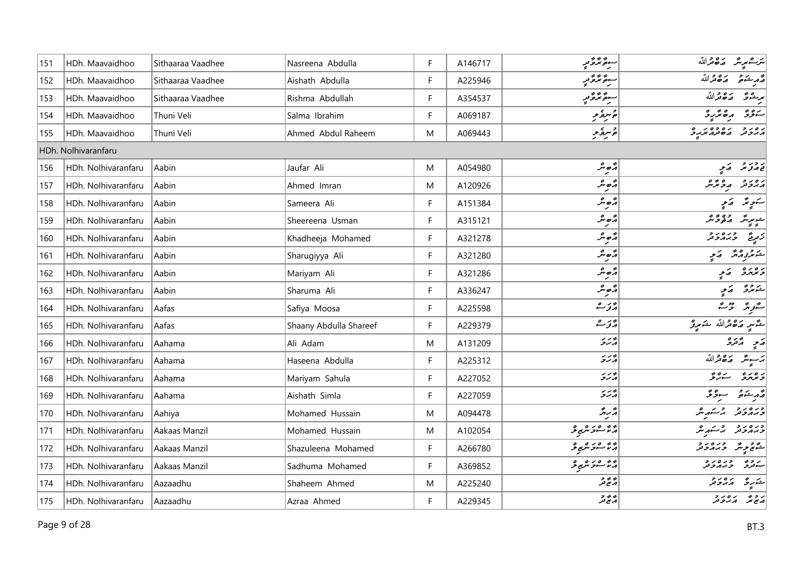| 151 | HDh. Maavaidhoo     | Sithaaraa Vaadhee | Nasreena Abdulla       | F         | A146717 | سى <i>دەڭ تېرەڭ تېر</i>         | ىترىشمىيىتر كەھ قراللە                        |
|-----|---------------------|-------------------|------------------------|-----------|---------|---------------------------------|-----------------------------------------------|
| 152 | HDh. Maavaidhoo     | Sithaaraa Vaadhee | Aishath Abdulla        | F         | A225946 | ۔ پر پر پر<br>سره پر پر تو      | مُ مِسْوَمٍ مَصْعَرِ اللَّهِ                  |
| 153 | HDh. Maavaidhoo     | Sithaaraa Vaadhee | Rishma Abdullah        | F         | A354537 | پەر بۇ ئۆگەر<br>بەر ئىمرىرگە بو | سيشقر ضقائدالله                               |
| 154 | HDh. Maavaidhoo     | Thuni Veli        | Salma Ibrahim          | F.        | A069187 | ومحسرة و                        |                                               |
| 155 | HDh. Maavaidhoo     | Thuni Veli        | Ahmed Abdul Raheem     | M         | A069443 | ومجسرة و                        | پروژبر                                        |
|     | HDh. Nolhivaranfaru |                   |                        |           |         |                                 |                                               |
| 156 | HDh. Nolhivaranfaru | Aabin             | Jaufar Ali             | ${\sf M}$ | A054980 | اړځوینګ                         | لماه وماتر وكالمحر                            |
| 157 | HDh. Nolhivaranfaru | Aabin             | Ahmed Imran            | M         | A120926 | ړ<br>مړينې                      | ره رو در وره د                                |
| 158 | HDh. Nolhivaranfaru | Aabin             | Sameera Ali            | F         | A151384 | أرمض                            | سکونگر کرم<br>سکونگر کرم<br>سمبرنگر کرفرگرنگر |
| 159 | HDh. Nolhivaranfaru | Aabin             | Sheereena Usman        | F         | A315121 | أرموسر                          |                                               |
| 160 | HDh. Nolhivaranfaru | Aabin             | Khadheeja Mohamed      | F         | A321278 | اړڻو پر                         | ر<br>ترمړنج<br>و ر ه ر د<br>تر پر پر تر       |
| 161 | HDh. Nolhivaranfaru | Aabin             | Sharugiyya Ali         | F         | A321280 | ړ<br>مړ                         | شەرىمە كەم                                    |
| 162 | HDh. Nolhivaranfaru | Aabin             | Mariyam Ali            | F         | A321286 | أرمضه                           | وبروره وكمع                                   |
| 163 | HDh. Nolhivaranfaru | Aabin             | Sharuma Ali            | F         | A336247 | اړځوینګ                         | التذبرة الأبح                                 |
| 164 | HDh. Nolhivaranfaru | Aafas             | Safiya Moosa           | F         | A225598 | د ئەز ب                         | الشروش وحسة                                   |
| 165 | HDh. Nolhivaranfaru | Aafas             | Shaany Abdulla Shareef | F         | A229379 | ېز مه                           | شمس مَـــومَّــاللَّهُ شَمَــومِّـرَّ         |
| 166 | HDh. Nolhivaranfaru | Aahama            | Ali Adam               | M         | A131209 | پرسر                            | $rac{1}{2}rac{1}{2}$                          |
| 167 | HDh. Nolhivaranfaru | Aahama            | Haseena Abdulla        | F         | A225312 | پرسر                            | ترسومتر كانقاقلله                             |
| 168 | HDh. Nolhivaranfaru | Aahama            | Mariyam Sahula         | F         | A227052 | پرسر                            | رەرە سەرەپچ                                   |
| 169 | HDh. Nolhivaranfaru | Aahama            | Aishath Simla          | F         | A227059 | بزرجه                           | وكرمشكم سوقر                                  |
| 170 | HDh. Nolhivaranfaru | Aahiya            | Mohamed Hussain        | M         | A094478 | رمبر پر                         | כנסגב באתים                                   |
| 171 | HDh. Nolhivaranfaru | Aakaas Manzil     | Mohamed Hussain        | M         | A102054 | ۇ ئۇ شەنزىرى بۇ                 | ورەرو ورىدىگ                                  |
| 172 | HDh. Nolhivaranfaru | Aakaas Manzil     | Shazuleena Mohamed     | F         | A266780 | <br>  پرتا شوئے مقربے مح        | گەنج پەش كەندە بەر                            |
| 173 | HDh. Nolhivaranfaru | Aakaas Manzil     | Sadhuma Mohamed        | F         | A369852 | ۇ ئۇ شەخەتترىپ تى               | ر ده دره دو                                   |
| 174 | HDh. Nolhivaranfaru | Aazaadhu          | Shaheem Ahmed          | M         | A225240 | پر بر حر<br>در سی تعر           | هنرپر پر پر در                                |
| 175 | HDh. Nolhivaranfaru | Aazaadhu          | Azraa Ahmed            | F.        | A229345 | پر پیچ تعر                      | $7.01$ $7.00$                                 |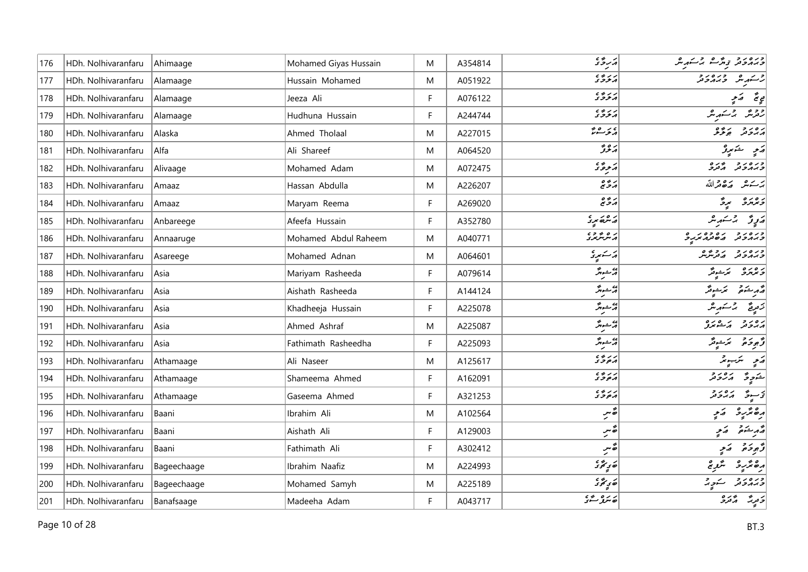| 176 | HDh. Nolhivaranfaru | Ahimaage    | Mohamed Giyas Hussain | M  | A354814 | پرېږي                                                              | ورەرو پەرم جىسكىرىش                    |
|-----|---------------------|-------------|-----------------------|----|---------|--------------------------------------------------------------------|----------------------------------------|
| 177 | HDh. Nolhivaranfaru | Alamaage    | Hussain Mohamed       | M  | A051922 | ر ر بر »<br>در تر ژ د                                              | 2000 - 2000 م<br>  مرکبه مردم در در د  |
| 178 | HDh. Nolhivaranfaru | Alamaage    | Jeeza Ali             | F. | A076122 | ر ر د »<br>پرنوری                                                  | ي تھ جو                                |
| 179 | HDh. Nolhivaranfaru | Alamaage    | Hudhuna Hussain       | F. | A244744 | ر ر ه ،<br>پرنوبری                                                 | دوم حسکم میگر                          |
| 180 | HDh. Nolhivaranfaru | Alaska      | Ahmed Tholaal         | M  | A227015 | ەبەرەپچ                                                            | رەر دىرە                               |
| 181 | HDh. Nolhivaranfaru | Alfa        | Ali Shareef           | M  | A064520 | پر ویچ                                                             | أەيم سىمبر                             |
| 182 | HDh. Nolhivaranfaru | Alivaage    | Mohamed Adam          | M  | A072475 | پر وي                                                              | وره رو په ده<br>وبرمرونر مرتزح         |
| 183 | HDh. Nolhivaranfaru | Amaaz       | Hassan Abdulla        | M  | A226207 | $\overset{\circ}{\tilde{\mathscr{S}}}\overset{\circ}{\mathscr{A}}$ | تركيش مكافقرالله                       |
| 184 | HDh. Nolhivaranfaru | Amaaz       | Maryam Reema          | F  | A269020 | رپه ه                                                              | ويوره<br>سورگر<br>په                   |
| 185 | HDh. Nolhivaranfaru | Anbareege   | Afeefa Hussain        | F. | A352780 | پر شرکھ سر ج                                                       | أەروژ بر شامرىش                        |
| 186 | HDh. Nolhivaranfaru | Annaaruge   | Mohamed Abdul Raheem  | M  | A040771 | ر ه پژو ،<br>مرس پرې                                               | כנסנכ נסכסנים                          |
| 187 | HDh. Nolhivaranfaru | Asareege    | Mohamed Adnan         | M  | A064601 | ېر کے بیری<br>م                                                    | وره رو دوره<br><i>و برم</i> وتر مقرش   |
| 188 | HDh. Nolhivaranfaru | Asia        | Mariyam Rasheeda      | F  | A079614 | ينا<br>مرڪبونر                                                     | رەرە يرَجعَر                           |
| 189 | HDh. Nolhivaranfaru | $ A$ sia    | Aishath Rasheeda      | F  | A144124 | ە ئەھەدىگە<br>م                                                    | كمركو كركو                             |
| 190 | HDh. Nolhivaranfaru | $ A$ sia    | Khadheeja Hussain     | F  | A225078 | ي<br>مر شودگر                                                      | زَمِيعٌ بِرْسَهِ مِرْ مِرْ             |
| 191 | HDh. Nolhivaranfaru | $ A$ sia    | Ahmed Ashraf          | M  | A225087 | ي شورگر<br>م                                                       | رەرد كەشىر<br>مەردىس كەشەير            |
| 192 | HDh. Nolhivaranfaru | Asia        | Fathimath Rasheedha   | F  | A225093 | ا پژے پر<br>ا                                                      | ومجوده بمشوش                           |
| 193 | HDh. Nolhivaranfaru | Athamaage   | Ali Naseer            | M  | A125617 | ر ر د »<br>پره د د                                                 | ەكىيە سىكىسىدىكى<br>مەكسىسى سىكىسىدىكى |
| 194 | HDh. Nolhivaranfaru | Athamaage   | Shameema Ahmed        | F  | A162091 | ر ر د »<br>د ه د د                                                 | شكور كالمردور                          |
| 195 | HDh. Nolhivaranfaru | Athamaage   | Gaseema Ahmed         | F  | A321253 | ر ر » ><br>د ه د د                                                 | ى<br>تۈسىۋىتى<br>ەردە                  |
| 196 | HDh. Nolhivaranfaru | Baani       | Ibrahim Ali           | M  | A102564 | ځ سر<br>خ                                                          |                                        |
| 197 | HDh. Nolhivaranfaru | Baani       | Aishath Ali           | F  | A129003 | اقحسر                                                              | وأرشكم وكمع                            |
| 198 | HDh. Nolhivaranfaru | Baani       | Fathimath Ali         | F  | A302412 | ځ سر                                                               | و محمد الله من الله من الله من         |
| 199 | HDh. Nolhivaranfaru | Bageechaage | Ibrahim Naafiz        | M  | A224993 | ر<br>نه پ <sup>ه</sup> د ک                                         | متَّرُبِّح<br>د ۱۵ تر رد<br>د          |
| 200 | HDh. Nolhivaranfaru | Bageechaage | Mohamed Samyh         | M  | A225189 | <br>  ته په تمرۍ                                                   | و ره ر و<br>و پرو تر                   |
| 201 | HDh. Nolhivaranfaru | Banafsaage  | Madeeha Adam          | F. | A043717 | ە ئىروپىچ                                                          | دَ پِرِ بَهِ اللہ وارد                 |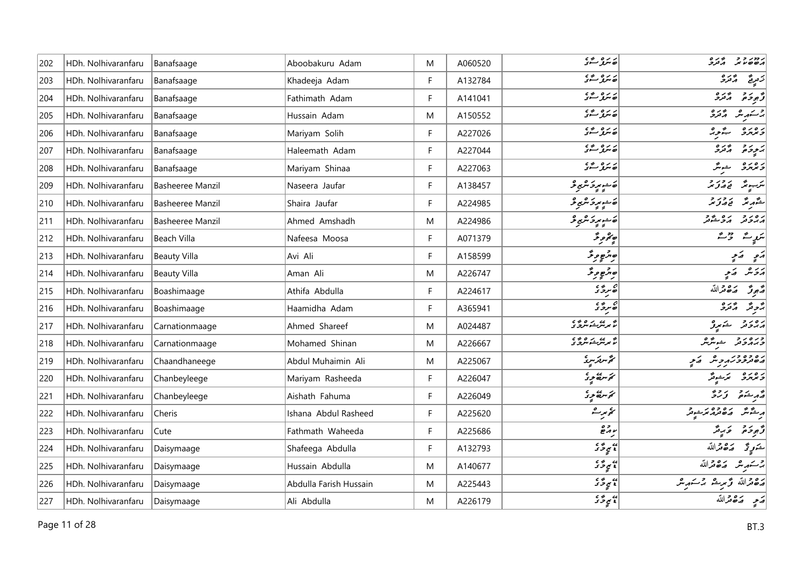| 202 | HDh. Nolhivaranfaru | Banafsaage              | Aboobakuru Adam        | M  | A060520 | ر ره په په<br><i>ه</i> نرنو ک        | נחני כן הנס                                                                                                                                                                                                                   |
|-----|---------------------|-------------------------|------------------------|----|---------|--------------------------------------|-------------------------------------------------------------------------------------------------------------------------------------------------------------------------------------------------------------------------------|
| 203 | HDh. Nolhivaranfaru | Banafsaage              | Khadeeja Adam          | F  | A132784 | ر ره په په<br>ح <i>سرتی</i> شن       | زَمِرِجٌ<br>پور ہ<br>مرکزو                                                                                                                                                                                                    |
| 204 | HDh. Nolhivaranfaru | Banafsaage              | Fathimath Adam         | F. | A141041 | ر ره په په<br>چېنرنو شو              | و د و دره                                                                                                                                                                                                                     |
| 205 | HDh. Nolhivaranfaru | Banafsaage              | Hussain Adam           | M  | A150552 | ە ئىرە مەي                           | جر کشمیر هر پر محمد شده شده کر                                                                                                                                                                                                |
| 206 | HDh. Nolhivaranfaru | Banafsaage              | Mariyam Solih          | F  | A227026 | ر ره په په<br><i>ه</i> نرنو ک        | دەرە شەر                                                                                                                                                                                                                      |
| 207 | HDh. Nolhivaranfaru | Banafsaage              | Haleemath Adam         | F  | A227044 | ە ئىرە ئەي                           | بروزه الممرد                                                                                                                                                                                                                  |
| 208 | HDh. Nolhivaranfaru | Banafsaage              | Mariyam Shinaa         | F. | A227063 | ە ئىروپىيى                           | رەرە شەنگە                                                                                                                                                                                                                    |
| 209 | HDh. Nolhivaranfaru | <b>Basheeree Manzil</b> | Naseera Jaufar         | F  | A138457 | ە ئەبرىز ئىرى<br>ئەبرىز              | لترسيع في وفرقه                                                                                                                                                                                                               |
| 210 | HDh. Nolhivaranfaru | Basheeree Manzil        | Shaira Jaufar          | F. | A224985 | ئەھمە <i>يەد ت</i> ىرى<br>           | شرير فارود                                                                                                                                                                                                                    |
| 211 | HDh. Nolhivaranfaru | <b>Basheeree Manzil</b> | Ahmed Amshadh          | M  | A224986 | مَسْبِرِ دَيْرُ مِنْ دِ              | رەرو رەشۇر<br>مەرىر مۇشۇر                                                                                                                                                                                                     |
| 212 | HDh. Nolhivaranfaru | Beach Villa             | Nafeesa Moosa          | F  | A071379 | ھەمچ ھ <sub>و</sub> مۇ               | $\begin{array}{cc} \overbrace{\phantom{\left( \mathcal{L}_1 \right)}}^{\mathcal{L}_2} & \mathcal{L}_2 \leftarrow \mathcal{L}_1 \\ \mathcal{L}_2 & \mathcal{L}_2 \leftarrow \mathcal{L}_2 \end{array}$                         |
| 213 | HDh. Nolhivaranfaru | Beauty Villa            | Avi Ali                | F  | A158599 | ەرمۇء ئە<br>بەر                      | ړې پړې                                                                                                                                                                                                                        |
| 214 | HDh. Nolhivaranfaru | Beauty Villa            | Aman Ali               | M  | A226747 | ە پرې پەر<br>ئە                      | أرْجَاش أرْجِع                                                                                                                                                                                                                |
| 215 | HDh. Nolhivaranfaru | Boashimaage             | Athifa Abdulla         | F  | A224617 | قامردنم                              | مَصْعَرِاللَّه<br>ة وِڙَ                                                                                                                                                                                                      |
| 216 | HDh. Nolhivaranfaru | Boashimaage             | Haamidha Adam          | F  | A365941 | ہ<br>خامرچری                         | تروتر الممرو                                                                                                                                                                                                                  |
| 217 | HDh. Nolhivaranfaru | Carnationmaage          | Ahmed Shareef          | M  | A024487 | ر<br>ما برېتون مرد د                 | رەرد خىرۇ                                                                                                                                                                                                                     |
| 218 | HDh. Nolhivaranfaru | Carnationmaage          | Mohamed Shinan         | M  | A226667 | ء<br>ماڻهو مگر شڪ مگرچو <sub>ک</sub> | وره رو شینگرنگر                                                                                                                                                                                                               |
| 219 | HDh. Nolhivaranfaru | Chaandhaneege           | Abdul Muhaimin Ali     | M  | A225067 | كۇسىترسىد                            | 2020 - 2020 - 2020 - 2020 - 2020 - 2020 - 2020 - 2020 - 2020 - 2020 - 2020 - 2020 - 2020 - 2020 - 2020 - 2020 - 2020 - 2020 - 2020 - 2020 - 2020 - 2020 - 2020 - 2020 - 2020 - 2020 - 2020 - 2020 - 2020 - 2020 - 2020 - 2020 |
| 220 | HDh. Nolhivaranfaru | Chanbeyleege            | Mariyam Rasheeda       | F. | A226047 | كوس تفوي                             | رەرە برَشوتر                                                                                                                                                                                                                  |
| 221 | HDh. Nolhivaranfaru | Chanbeyleege            | Aishath Fahuma         | F  | A226049 | كوس تفود                             | ومرشرة ورود                                                                                                                                                                                                                   |
| 222 | HDh. Nolhivaranfaru | Cheris                  | Ishana Abdul Rasheed   | F. | A225620 | نجو بیرے<br>— ح                      | د شوش ده وه د سوتر<br>د شوش د ه ترد بر شوتر                                                                                                                                                                                   |
| 223 | HDh. Nolhivaranfaru | Cute                    | Fathmath Waheeda       | F  | A225686 | $\overset{\circ}{e}$                 | ومحودة وكرمد                                                                                                                                                                                                                  |
| 224 | HDh. Nolhivaranfaru | Daisymaage              | Shafeega Abdulla       | F  | A132793 | ں<br>لاسچ تر <sub>ک</sub>            | شَ <i>ورٍ تَذَ مَنْ قَ</i> مَرَاللّه                                                                                                                                                                                          |
| 225 | HDh. Nolhivaranfaru | Daisymaage              | Hussain Abdulla        | M  | A140677 | پی پی تر د<br>  پی پی تر د           | بر متمر مركز مركز الله                                                                                                                                                                                                        |
| 226 | HDh. Nolhivaranfaru | Daisymaage              | Abdulla Farish Hussain | M  | A225443 | ۽ سچ چري<br>  ۽ سچ چر پر             | برە داللە مۇمدىشە ج <i>ىسكىرىش</i>                                                                                                                                                                                            |
| 227 | HDh. Nolhivaranfaru | Daisymaage              | Ali Abdulla            | M  | A226179 | ړه په ده د<br>د مخ                   | أَصَٰحٍ صَالَّاتَ اللَّهُ                                                                                                                                                                                                     |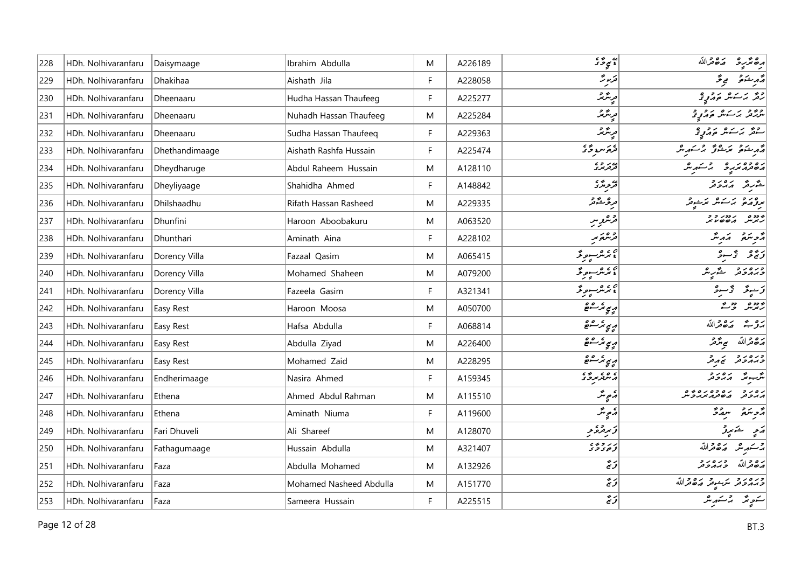| 228 | HDh. Nolhivaranfaru | Daisymaage     | Ibrahim Abdulla         | M  | A226189 | اءِ سرچ تا<br>  ۽ سمج تاريخ           | مەھەر ئەھىراللە                                            |
|-----|---------------------|----------------|-------------------------|----|---------|---------------------------------------|------------------------------------------------------------|
| 229 | HDh. Nolhivaranfaru | Dhakihaa       | Aishath Jila            | F. | A228058 | ىزىر ئ <sup>ە</sup>                   | أأرمض وغر                                                  |
| 230 | HDh. Nolhivaranfaru | Dheenaaru      | Hudha Hassan Thaufeeg   | F. | A225277 | <sub>موس</sub> ترىز<br>ئ <sup>ۆ</sup> |                                                            |
| 231 | HDh. Nolhivaranfaru | Dheenaaru      | Nuhadh Hassan Thaufeeg  | M  | A225284 | <sub>موس</sub> ترىز                   | د د د د کرد و د د د د د د د د                              |
| 232 | HDh. Nolhivaranfaru | Dheenaaru      | Sudha Hassan Thaufeeq   | F  | A229363 | <sub>موس</sub> ترىز<br>ئ <sup>ۆ</sup> | ده بر بره برو وه<br>سرتر بر سرس <i>و</i> ړن <sub>و</sub> د |
| 233 | HDh. Nolhivaranfaru | Dhethandimaage | Aishath Rashfa Hussain  | F  | A225474 | ې ئەھەمبىيە ئ <sup>ىرى</sup> ئ        | ەرشە ئەشرى ئەسەر                                           |
| 234 | HDh. Nolhivaranfaru | Dheydharuge    | Abdul Raheem Hussain    | M  | A128110 | دے پر 5 ے<br>توتوموی                  |                                                            |
| 235 | HDh. Nolhivaranfaru | Dheyliyaage    | Shahidha Ahmed          | F  | A148842 | قرمز جری<br>  قرمز جر                 | شمرس مددور                                                 |
| 236 | HDh. Nolhivaranfaru | Dhilshaadhu    | Rifath Hassan Rasheed   | M  | A229335 | ىر ئۇ شەڭر                            | ەردىكە ئەسكەن ئەسەر                                        |
| 237 | HDh. Nolhivaranfaru | Dhunfini       | Haroon Aboobakuru       | M  | A063520 | قريرو سر                              | מחקם נחנים<br>ניתיית הספינית                               |
| 238 | HDh. Nolhivaranfaru | Dhunthari      | Aminath Aina            | F. | A228102 | قريرىم ئىر                            | تزجر ستعر الكهر مثر                                        |
| 239 | HDh. Nolhivaranfaru | Dorency Villa  | Fazaal Qasim            | M  | A065415 | م مگر مشروع<br>مسیحہ                  | ۇتجۇ قۇسۇ                                                  |
| 240 | HDh. Nolhivaranfaru | Dorency Villa  | Mohamed Shaheen         | M  | A079200 | م محمد شهور محمد المصر<br>مسيح مر     | ورەرو شەرش                                                 |
| 241 | HDh. Nolhivaranfaru | Dorency Villa  | Fazeela Gasim           | F  | A321341 | ، ئەنگەسى <i>رە ۋ</i>                 | أَوْسَوِمَّ - تَوْسُرُدُ                                   |
| 242 | HDh. Nolhivaranfaru | Easy Rest      | Haroon Moosa            | M  | A050700 | پېږېم شر <u>ه شرح</u>                 | ع دو مع وحر محمد استرا                                     |
| 243 | HDh. Nolhivaranfaru | Easy Rest      | Hafsa Abdulla           | F  | A068814 | رسم يحر صفح                           | يرە قراللە<br>برويجه                                       |
| 244 | HDh. Nolhivaranfaru | Easy Rest      | Abdulla Ziyad           | M  | A226400 | پرېږ شرعي                             | برة قرالله بم مرمر                                         |
| 245 | HDh. Nolhivaranfaru | Easy Rest      | Mohamed Zaid            | M  | A228295 | پرېږي څر <u>ه</u>                     | כנסנכ הנב                                                  |
| 246 | HDh. Nolhivaranfaru | Endherimaage   | Nasira Ahmed            | F. | A159345 | <br> د مرډ برد د                      | ش ئەرەر دەر                                                |
| 247 | HDh. Nolhivaranfaru | Ethena         | Ahmed Abdul Rahman      | M  | A115510 | وهويتر                                |                                                            |
| 248 | HDh. Nolhivaranfaru | Ethena         | Aminath Niuma           | F  | A119600 | لأهويتر                               | أأروبتهم بتزارقهم                                          |
| 249 | HDh. Nolhivaranfaru | Fari Dhuveli   | Ali Shareef             | M  | A128070 | ۇ برىزۇ بر                            | أرشم المستشعر                                              |
| 250 | HDh. Nolhivaranfaru | Fathagumaage   | Hussain Abdulla         | M  | A321407 | ر ر د د »<br>تر ه د ر د               | جرحريثر الاهتمالله                                         |
| 251 | HDh. Nolhivaranfaru | Faza           | Abdulla Mohamed         | M  | A132926 | تریخ                                  | رە داللە دېرە دو                                           |
| 252 | HDh. Nolhivaranfaru | Faza           | Mohamed Nasheed Abdulla | M  | A151770 | ترتج                                  | وبروبرد ترجيد كامحدالله                                    |
| 253 | HDh. Nolhivaranfaru | Faza           | Sameera Hussain         | F. | A225515 | تریخ                                  | سەچ ئېر جام يىلى                                           |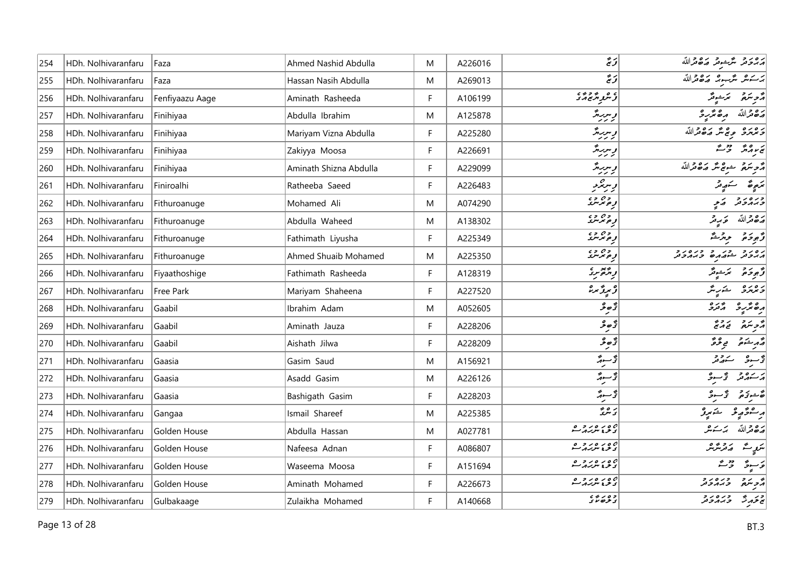| 254 | HDh. Nolhivaranfaru | Faza            | Ahmed Nashid Abdulla   | M         | A226016 | ترتج                                               | أبره برو شروع بره قرالله                          |
|-----|---------------------|-----------------|------------------------|-----------|---------|----------------------------------------------------|---------------------------------------------------|
| 255 | HDh. Nolhivaranfaru | Faza            | Hassan Nasih Abdulla   | M         | A269013 | تریخ                                               | برسمىر مترجع روحرالله                             |
| 256 | HDh. Nolhivaranfaru | Fenfiyaazu Aage | Aminath Rasheeda       | F         | A106199 | ې ه په پروه <sup>پ</sup> ه                         | أترحر تمكم تمزعوقر                                |
| 257 | HDh. Nolhivaranfaru | Finihiyaa       | Abdulla Ibrahim        | M         | A125878 | او سربر پژ<br>سنگ                                  | ەر ھەتئەر 2<br>ر<br>ەھىراللە                      |
| 258 | HDh. Nolhivaranfaru | Finihiyaa       | Mariyam Vizna Abdulla  | F         | A225280 | و سربر پر<br>سر سر                                 | ىرەرە ھەسىر مەھراللە                              |
| 259 | HDh. Nolhivaranfaru | Finihiyaa       | Zakiyya Moosa          | F         | A226691 | نو سربر پژ<br>مسلم                                 | $23 - 20$                                         |
| 260 | HDh. Nolhivaranfaru | Finihiyaa       | Aminath Shizna Abdulla | F         | A229099 | او سربر پژ<br>سنگ                                  | أُمَّحِ سَعَمٍ عَسَّرَ مَنْ قَدَّاللَّهُ          |
| 261 | HDh. Nolhivaranfaru | Finiroalhi      | Ratheeba Saeed         | F         | A226483 | وسرچر                                              | أتروة سكويتر                                      |
| 262 | HDh. Nolhivaranfaru | Fithuroanuge    | Mohamed Ali            | ${\sf M}$ | A074290 | وه وه وه                                           | دره رد په ک                                       |
| 263 | HDh. Nolhivaranfaru | Fithuroanuge    | Abdulla Waheed         | M         | A138302 | وه وړ<br>د پوسر                                    | صصرالله<br>ءَ پرتر                                |
| 264 | HDh. Nolhivaranfaru | Fithuroanuge    | Fathimath Liyusha      | F         | A225349 | د وه و ،                                           | وتجودهم ومرش                                      |
| 265 | HDh. Nolhivaranfaru | Fithuroanuge    | Ahmed Shuaib Mohamed   | M         | A225350 | وه وه<br>د مرس                                     | ر 2000 במרכז 2000 ביטוב.<br>גיב בני הייני המרכית  |
| 266 | HDh. Nolhivaranfaru | Fiyaathoshige   | Fathimath Rasheeda     | F         | A128319 | و پر پر<br>پر مربو سر پر                           | أراوح ترجو                                        |
| 267 | HDh. Nolhivaranfaru | Free Park       | Mariyam Shaheena       | F         | A227520 | ە بېرىۋىر بە                                       | ر ه ر ه<br><del>ر</del> بربرگر<br>ىشكە پەتتر<br>— |
| 268 | HDh. Nolhivaranfaru | Gaabil          | Ibrahim Adam           | M         | A052605 | و<br>ترھ ئر                                        | ەرگەر<br>ەر ھەترىر <i>3</i>                       |
| 269 | HDh. Nolhivaranfaru | Gaabil          | Aminath Jauza          | F         | A228206 | تچھو                                               |                                                   |
| 270 | HDh. Nolhivaranfaru | Gaabil          | Aishath Jilwa          | F         | A228209 | تٌوگر                                              | مەر ئىكى ئىم ئى                                   |
| 271 | HDh. Nolhivaranfaru | Gaasia          | Gasim Saud             | M         | A156921 | پچ پ<br>تخ مس <b>ور</b>                            | ۇسوۋە سەھەتەر                                     |
| 272 | HDh. Nolhivaranfaru | Gaasia          | Asadd Gasim            | ${\sf M}$ | A226126 | چوسى <i>دە</i><br>س                                | بر رەم ئى ئى                                      |
| 273 | HDh. Nolhivaranfaru | Gaasia          | Bashigath Gasim        | F         | A228203 | تۇسىدۇ                                             | ۇسۇرۇ تۇسىۋ                                       |
| 274 | HDh. Nolhivaranfaru | Gangaa          | Ismail Shareef         | M         | A225385 | ر ه پی                                             | برڪوگير و ڪيرو                                    |
| 275 | HDh. Nolhivaranfaru | Golden House    | Abdulla Hassan         | M         | A027781 | ە ە ر ەر د مە                                      | مَدْهُ مِّدَاللَّهُ بِرَسَوْسُ                    |
| 276 | HDh. Nolhivaranfaru | Golden House    | Nafeesa Adnan          | F         | A086807 | ە ە ر ە ر د مە                                     | سَمَدٍ مُتَنَ<br>ە ئەقرىترىتر                     |
| 277 | HDh. Nolhivaranfaru | Golden House    | Waseema Moosa          | F         | A151694 | ە يە يە يەر جە يە<br>ئە <b>ي</b> رى يىر <i>يەر</i> | كالمحاسبة وحرمته                                  |
| 278 | HDh. Nolhivaranfaru | Golden House    | Aminath Mohamed        | F         | A226673 | ە ە ر ەر د مە                                      | أرمز<br>و ره ر و<br>تر پر ژ تر                    |
| 279 | HDh. Nolhivaranfaru | Gulbakaage      | Zulaikha Mohamed       | F         | A140668 | وه رپر و<br>د <del>تر</del> خاند                   | ة ورەرد                                           |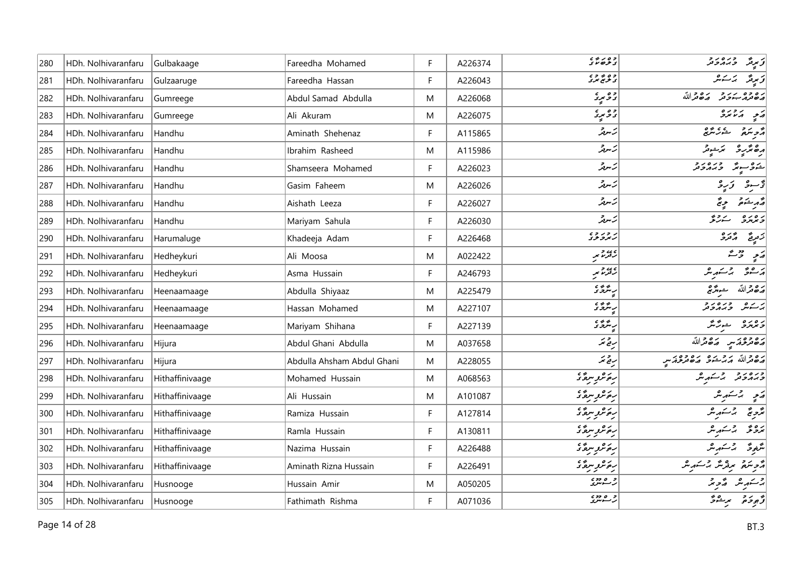| 280 | HDh. Nolhivaranfaru | Gulbakaage      | Fareedha Mohamed           | F  | A226374 | و و بر د و<br>د نوه مړي              | تزیدنگر از جانزادر در                                    |
|-----|---------------------|-----------------|----------------------------|----|---------|--------------------------------------|----------------------------------------------------------|
| 281 | HDh. Nolhivaranfaru | Gulzaaruge      | Fareedha Hassan            | F  | A226043 | و ه پر و ،<br>د <del>ن</del> رمخ بود | أقرمينتر الكاشر                                          |
| 282 | HDh. Nolhivaranfaru | Gumreege        | Abdul Samad Abdulla        | M  | A226068 | و ه مړی<br>  د ح مړی                 | ره وه بربر و مهرالله                                     |
| 283 | HDh. Nolhivaranfaru | Gumreege        | Ali Akuram                 | M  | A226075 | و ه<br>د و مړي                       |                                                          |
| 284 | HDh. Nolhivaranfaru | Handhu          | Aminath Shehenaz           | F  | A115865 | ر<br>رکسوتو                          | ۇ يەسىر<br>مەس<br>ے پر مر <i>بع</i><br>مشرک <i> مربع</i> |
| 285 | HDh. Nolhivaranfaru | Handhu          | Ibrahim Rasheed            | M  | A115986 | ر سرچر                               | رەتزىرە ترىنوتر                                          |
| 286 | HDh. Nolhivaranfaru | Handhu          | Shamseera Mohamed          | F  | A226023 | ر سرچر                               | ره وره در در<br>شوو په وبروتر                            |
| 287 | HDh. Nolhivaranfaru | Handhu          | Gasim Faheem               | M  | A226026 | ر سرچر                               | مچ سور کوری<br>گ                                         |
| 288 | HDh. Nolhivaranfaru | Handhu          | Aishath Leeza              | F  | A226027 | ر سرچر                               | و مر شو د<br>مر<br>حريج                                  |
| 289 | HDh. Nolhivaranfaru | Handhu          | Mariyam Sahula             | F  | A226030 | ر سرچر                               | ر ه ر ه<br><del>و</del> بوبرو<br>سترتر                   |
| 290 | HDh. Nolhivaranfaru | Harumaluge      | Khadeeja Adam              | F. | A226468 | ر ور و ،<br>ربرو و ،                 | پور ہ<br>مرکز پ<br>ترىرىتى<br>ئ                          |
| 291 | HDh. Nolhivaranfaru | Hedheykuri      | Ali Moosa                  | M  | A022422 | <br> رقرنامبر                        | ړې دحم                                                   |
| 292 | HDh. Nolhivaranfaru | Hedheykuri      | Asma Hussain               | F  | A246793 | <br> رقرنا مبر                       | برَ شَرْحَ بِرَ سَهْرِ سُرَ                              |
| 293 | HDh. Nolhivaranfaru | Heenaamaage     | Abdulla Shiyaaz            | M  | A225479 | ر پڙو ۽<br>په                        | بردورالله خورمج                                          |
| 294 | HDh. Nolhivaranfaru | Heenaamaage     | Hassan Mohamed             | M  | A227107 | ر پژو <sup>ي</sup>                   | ير ديره دره در د                                         |
| 295 | HDh. Nolhivaranfaru | Heenaamaage     | Mariyam Shihana            | F. | A227139 | ر پژو <sup>ي</sup>                   | رەرە <sub>شو</sub> رْشَ                                  |
| 296 | HDh. Nolhivaranfaru | Hijura          | Abdul Ghani Abdulla        | M  | A037658 | ىرقى ئىز                             | رەدەرىر رەرللە                                           |
| 297 | HDh. Nolhivaranfaru | Hijura          | Abdulla Ahsham Abdul Ghani | M  | A228055 | ىرقى ئىر                             | رە دالله مجمعود مەدوم س                                  |
| 298 | HDh. Nolhivaranfaru | Hithaffinivaage | Mohamed Hussain            | M  | A068563 | ىرغ <sub>ە</sub> ئىروپىرىقى ئە       | ورەرو رقسكەنگ                                            |
| 299 | HDh. Nolhivaranfaru | Hithaffinivaage | Ali Hussain                | M  | A101087 | رۇشۇر بىرقە ئ                        | ەكىر بەسكىرىش                                            |
| 300 | HDh. Nolhivaranfaru | Hithaffinivaage | Ramiza Hussain             | F  | A127814 | رەڭرى <sub>ر مىر</sub> دى            | بَرْدِيُّ يُرْسَمَهِ بْلَ                                |
| 301 | HDh. Nolhivaranfaru | Hithaffinivaage | Ramla Hussain              | F  | A130811 | رە ئەر سرەڭ                          | برە ئۇ بەر شەر                                           |
| 302 | HDh. Nolhivaranfaru | Hithaffinivaage | Nazima Hussain             | F. | A226488 | رەڭروپىر <i>ۇ</i> ،                  | أشموخ برمسكرين                                           |
| 303 | HDh. Nolhivaranfaru | Hithaffinivaage | Aminath Rizna Hussain      | F  | A226491 | رۇشۇر بىرقە ئە                       | أأديتم برفرش بمسكر مر                                    |
| 304 | HDh. Nolhivaranfaru | Husnooge        | Hussain Amir               | M  | A050205 | و ع <b>ب</b> رود ۽                   | برسكريثر الأفرير                                         |
| 305 | HDh. Nolhivaranfaru | Husnooge        | Fathimath Rishma           | F. | A071036 | و مەددى<br>سەمىرى                    | و گوځو مرشو                                              |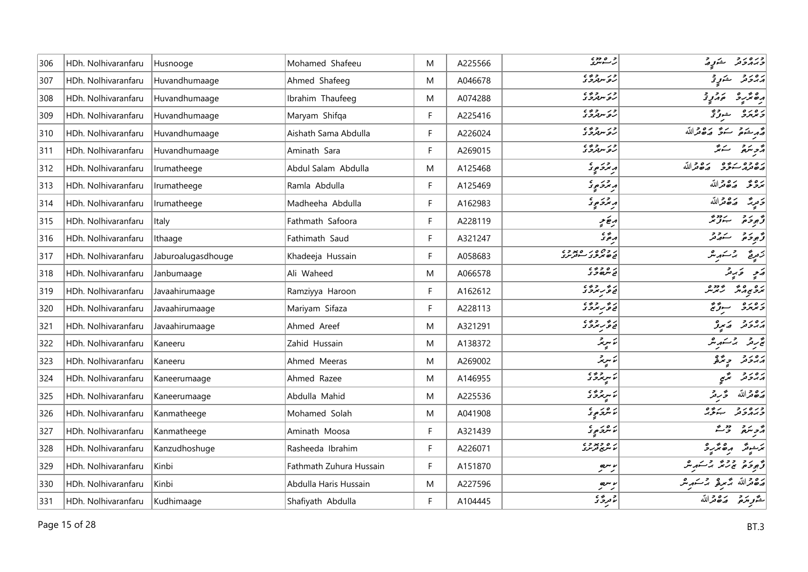| 306 | HDh. Nolhivaranfaru | Husnooge           | Mohamed Shafeeu         | M  | A225566 | ج عبر دو ۽<br>سرگيمبر                         | ورەرو شرړو                                  |
|-----|---------------------|--------------------|-------------------------|----|---------|-----------------------------------------------|---------------------------------------------|
| 307 | HDh. Nolhivaranfaru | Huvandhumaage      | Ahmed Shafeeg           | M  | A046678 | و ر پورې<br>روس پروگ                          | رەرو ئىرىپ                                  |
| 308 | HDh. Nolhivaranfaru | Huvandhumaage      | Ibrahim Thaufeeg        | M  | A074288 | و ر پورې<br>روس پروگ                          | وه مربر و وور                               |
| 309 | HDh. Nolhivaranfaru | Huvandhumaage      | Maryam Shifqa           | F. | A225416 | و ر په و ده و<br>رنو سرچرۍ                    | دەرە ھوق                                    |
| 310 | HDh. Nolhivaranfaru | Huvandhumaage      | Aishath Sama Abdulla    | F  | A226024 | و ر په وه د<br>رو سربرو د                     | مَّ مِّ شَوَّ مَّ صَوْرَ اللَّه             |
| 311 | HDh. Nolhivaranfaru | Huvandhumaage      | Aminath Sara            | F  | A269015 | و ر<br>ره سربرو د                             | ړې سرچه سند شو                              |
| 312 | HDh. Nolhivaranfaru | Irumatheege        | Abdul Salam Abdulla     | M  | A125468 | د بر دې<br>ر                                  | ره وه بروه بره و الله                       |
| 313 | HDh. Nolhivaranfaru | Irumatheege        | Ramla Abdulla           | F  | A125469 | د بر در پ<br>د بر د نو                        | برەئى برە قراللە                            |
| 314 | HDh. Nolhivaranfaru | Irumatheege        | Madheeha Abdulla        | F  | A162983 | ېر بر دې ده<br>ر                              | ځ توریڅ<br>ەھەراللە                         |
| 315 | HDh. Nolhivaranfaru | Italy              | Fathmath Safoora        | F  | A228119 | برڪو                                          | ۇ بوز ە<br>ىبەددىجە                         |
| 316 | HDh. Nolhivaranfaru | Ithaage            | Fathimath Saud          | F. | A321247 | ەرەبى                                         | ستەچرىتر<br>ۇ بور ە                         |
| 317 | HDh. Nolhivaranfaru | Jaburoalugasdhouge | Khadeeja Hussain        | F. | A058683 | ر و ? ه ر _ ه پر و ،<br>نح ن نرمز ک — دتر د ک | زَمِرِيٍّ<br>مُصَرِي<br>بر سے مدیش          |
| 318 | HDh. Nolhivaranfaru | Janbumaage         | Ali Waheed              | M  | A066578 | ر ه د و و ،<br>د سره تر د                     | أرزمي أوريد                                 |
| 319 | HDh. Nolhivaranfaru | Javaahirumaage     | Ramziyya Haroon         | F  | A162612 | پر څر بر څر ی                                 | بروپره پژ<br>یر دو ه<br>رنجونتر             |
| 320 | HDh. Nolhivaranfaru | Javaahirumaage     | Mariyam Sifaza          | F  | A228113 | پر څر پر چري<br>  پنج مر پر چر <sub>چ</sub>   | ر ه ر ه<br><del>ر</del> بربرگ<br>سوژنج<br>پ |
| 321 | HDh. Nolhivaranfaru | Javaahirumaage     | Ahmed Areef             | M  | A321291 | <br>  نوع سرچرۍ                               | ړه دی کرېږو                                 |
| 322 | HDh. Nolhivaranfaru | Kaneeru            | Zahid Hussain           | M  | A138372 | ئەسەپتىر                                      | چ پەقر كەسكىرىلىر                           |
| 323 | HDh. Nolhivaranfaru | Kaneeru            | Ahmed Meeras            | M  | A269002 | ئۈسىد                                         | رەرد دېگە                                   |
| 324 | HDh. Nolhivaranfaru | Kaneerumaage       | Ahmed Razee             | M  | A146955 | ئەسرچە ج                                      | بر ه بر د<br>مرکز فر                        |
| 325 | HDh. Nolhivaranfaru | Kaneerumaage       | Abdulla Mahid           | M  | A225536 | ئەسپەترىچ ئى                                  | ۇرتر<br>برە تراللە                          |
| 326 | HDh. Nolhivaranfaru | Kanmatheege        | Mohamed Solah           | M  | A041908 | ر هر د ءِ<br>پاڪرچ و                          | ىبە ئۇر<br>و ر ه ر و<br>تر پر تر تر         |
| 327 | HDh. Nolhivaranfaru | Kanmatheege        | Aminath Moosa           | F  | A321439 | بزېږېدنه                                      | ړ وه ده ده ک                                |
| 328 | HDh. Nolhivaranfaru | Kanzudhoshuge      | Rasheeda Ibrahim        | F  | A226071 | ر ۵ ویو و ۷<br>را سربع توسری                  | ىرىسىقى مەھىرىدى                            |
| 329 | HDh. Nolhivaranfaru | Kinbi              | Fathmath Zuhura Hussain | F  | A151870 | ىر سرى<br>بر                                  | و ده دور چې سر                              |
| 330 | HDh. Nolhivaranfaru | Kinbi              | Abdulla Haris Hussain   | M  | A227596 | ر سرچ<br>ر                                    | وكمقادرة بمحتفظ برستمريش                    |
| 331 | HDh. Nolhivaranfaru | Kudhimaage         | Shafiyath Abdulla       | F. | A104445 | د ورځ<br>مامرونو                              | أشوره رهق للآله                             |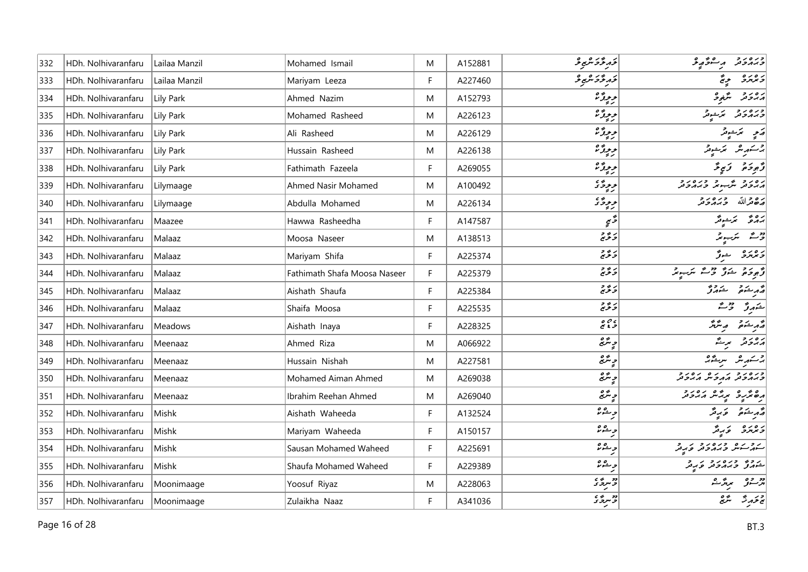| 332 | HDh. Nolhivaranfaru | Lailaa Manzil | Mohamed Ismail               | M  | A152881 | دَرِ دَّرَ سْرِ دْ                                  | ورەرو مەشۋەپى                                     |
|-----|---------------------|---------------|------------------------------|----|---------|-----------------------------------------------------|---------------------------------------------------|
| 333 | HDh. Nolhivaranfaru | Lailaa Manzil | Mariyam Leeza                | F  | A227460 | ئەر <i>ئۇنى</i> ئىرى                                | ويحج<br>ر ه ر ه<br><del>و</del> بربرو             |
| 334 | HDh. Nolhivaranfaru | Lily Park     | Ahmed Nazim                  | M  | A152793 | ووژه                                                | پره پر و<br>سَّنْجِرْ                             |
| 335 | HDh. Nolhivaranfaru | Lily Park     | Mohamed Rasheed              | M  | A226123 | ىرىرۇ ئە<br>ر <sub>ۇ</sub> ر                        | ورەرو كەشىر                                       |
| 336 | HDh. Nolhivaranfaru | Lily Park     | Ali Rasheed                  | M  | A226129 | ووژٌر                                               | ر<br>كەن كەنتىرلىر                                |
| 337 | HDh. Nolhivaranfaru | Lily Park     | Hussain Rasheed              | M  | A226138 | ووژٌر                                               | ر<br>رئاسکورنگر اسکر شوفر                         |
| 338 | HDh. Nolhivaranfaru | Lily Park     | Fathimath Fazeela            | F  | A269055 | ووژٌرٌ                                              | دًّەدە دَىدً                                      |
| 339 | HDh. Nolhivaranfaru | Lilymaage     | <b>Ahmed Nasir Mohamed</b>   | M  | A100492 | ووڈء                                                | גם גב יקרייב בגבבת<br>גבבת יקרייב בגבבת           |
| 340 | HDh. Nolhivaranfaru | Lilymaage     | Abdulla Mohamed              | M  | A226134 | ووڈء<br>ر                                           | و ره ر و<br><i>د ب</i> رگرفر<br>برە تراللە        |
| 341 | HDh. Nolhivaranfaru | Maazee        | Hawwa Rasheedha              | F  | A147587 | رچم                                                 | رە ئەستىدىگر<br>  يەھەقە ئەستىرىسى                |
| 342 | HDh. Nolhivaranfaru | Malaaz        | Moosa Naseer                 | M  | A138513 | ر بو د<br>تر تر م                                   | وه سترسوند                                        |
| 343 | HDh. Nolhivaranfaru | Malaaz        | Mariyam Shifa                | F  | A225374 | ىر ئۇچ                                              | رەرە ھۆگ                                          |
| 344 | HDh. Nolhivaranfaru | Malaaz        | Fathimath Shafa Moosa Naseer | F. | A225379 | ر بو د<br>تر تر م                                   | $\frac{2}{\sqrt{3}}$                              |
| 345 | HDh. Nolhivaranfaru | Malaaz        | Aishath Shaufa               | F. | A225384 | ر بو د<br>تر تر م                                   |                                                   |
| 346 | HDh. Nolhivaranfaru | Malaaz        | Shaifa Moosa                 | F  | A225535 | ر بو د<br>تر تر م                                   | أخترر والمحمد                                     |
| 347 | HDh. Nolhivaranfaru | Meadows       | Aishath Inaya                | F  | A228325 | $\overset{o}{\varepsilon} \overset{c}{\varepsilon}$ | مگهر شوهی و مگهر<br>در شوهی و مگهر<br>در در در سر |
| 348 | HDh. Nolhivaranfaru | Meenaaz       | Ahmed Riza                   | M  | A066922 | جريثي                                               |                                                   |
| 349 | HDh. Nolhivaranfaru | Meenaaz       | Hussain Nishah               | M  | A227581 | جريثي                                               | بر کشمیر شرکت سر مشور                             |
| 350 | HDh. Nolhivaranfaru | Meenaaz       | Mohamed Aiman Ahmed          | M  | A269038 | جريثي                                               | כנסגב גביל גםגב                                   |
| 351 | HDh. Nolhivaranfaru | Meenaaz       | Ibrahim Reehan Ahmed         | M  | A269040 | حريثرچ                                              | וסתיכ תגיל גיוני                                  |
| 352 | HDh. Nolhivaranfaru | Mishk         | Aishath Waheeda              | F  | A132524 | دره و                                               |                                                   |
| 353 | HDh. Nolhivaranfaru | Mishk         | Mariyam Waheeda              | F  | A150157 | وشدره                                               | כמתפ פֿגַע                                        |
| 354 | HDh. Nolhivaranfaru | Mishk         | Sausan Mohamed Waheed        | F  | A225691 | وشدر                                                | روره ورەرو رو                                     |
| 355 | HDh. Nolhivaranfaru | Mishk         | Shaufa Mohamed Waheed        | F  | A229389 | احريقيقه                                            | شهرتى ورەرو كارتر                                 |
| 356 | HDh. Nolhivaranfaru | Moonimaage    | Yoosuf Riyaz                 | M  | A228063 | ود سرچ ی<br> -                                      | دد و ه<br>در سور<br>ىرېژىشە                       |
| 357 | HDh. Nolhivaranfaru | Moonimaage    | Zulaikha Naaz                | F  | A341036 | יי<br>קייקבצ                                        | ىترىج<br>چ ئۇ <sub>م</sub> رتز                    |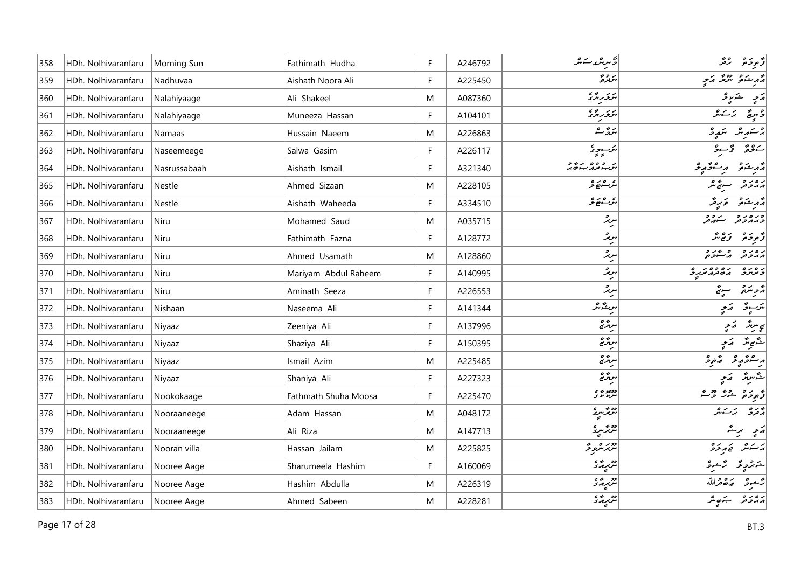| 358 | HDh. Nolhivaranfaru | Morning Sun  | Fathimath Hudha      | F  | A246792 | ۇ س <sub>رى</sub> ش <sub>ىك</sub> سەنگە       | $\begin{array}{cc} 1 & 7 & 7 & 9 \\ 1 & 1 & 1 & 1 \\ 1 & 1 & 1 & 1 \\ 1 & 1 & 1 & 1 \\ 1 & 1 & 1 & 1 \end{array}$                                                                                                                   |
|-----|---------------------|--------------|----------------------|----|---------|-----------------------------------------------|-------------------------------------------------------------------------------------------------------------------------------------------------------------------------------------------------------------------------------------|
| 359 | HDh. Nolhivaranfaru | Nadhuvaa     | Aishath Noora Ali    | F  | A225450 | ر و ر<br>سرترو                                |                                                                                                                                                                                                                                     |
| 360 | HDh. Nolhivaranfaru | Nalahiyaage  | Ali Shakeel          | M  | A087360 | يرىز پە                                       | ة مركزة حريمة كانورية بين المركزة المركزة المركزة المركزة المركزة المركزة المركزة المركزة المركزة المركزة المر<br>مركزة المركزة المركزة المركزة المركزة المركزة المركزة المركزة المركزة المركزة المركزة المركزة المركزة المركزة<br> |
| 361 | HDh. Nolhivaranfaru | Nalahiyaage  | Muneeza Hassan       | F. | A104101 | يرىز پە                                       |                                                                                                                                                                                                                                     |
| 362 | HDh. Nolhivaranfaru | Namaas       | Hussain Naeem        | M  | A226863 | ىئەۋىشە                                       | يز سكر مكر مكر و حكم المحمد و المحمد و المحمد و المحمد المحمد و المحمد و المحمد و المحمد و المحمد و المحمد و ا                                                                                                                      |
| 363 | HDh. Nolhivaranfaru | Naseemeege   | Salwa Gasim          | F  | A226117 | ىئرسوچە ئە<br>ئەسىر                           | روو تخ ب                                                                                                                                                                                                                            |
| 364 | HDh. Nolhivaranfaru | Nasrussabaah | Aishath Ismail       | F  | A321340 | ر و وه ر رو و<br>سرجو پر جوړ                  |                                                                                                                                                                                                                                     |
| 365 | HDh. Nolhivaranfaru | Nestle       | Ahmed Sizaan         | M  | A228105 | ى مەر م<br>س                                  |                                                                                                                                                                                                                                     |
| 366 | HDh. Nolhivaranfaru | Nestle       | Aishath Waheeda      | F  | A334510 | ى مەر ھ<br>س                                  |                                                                                                                                                                                                                                     |
| 367 | HDh. Nolhivaranfaru | Niru         | Mohamed Saud         | M  | A035715 | سرچر                                          | وره رو دوو                                                                                                                                                                                                                          |
| 368 | HDh. Nolhivaranfaru | Niru         | Fathimath Fazna      | F  | A128772 | سرچر                                          | وَجِعَةٍ وَجِسَّر                                                                                                                                                                                                                   |
| 369 | HDh. Nolhivaranfaru | Niru         | Ahmed Usamath        | M  | A128860 | سرچر                                          | رەرو ويرو                                                                                                                                                                                                                           |
| 370 | HDh. Nolhivaranfaru | Niru         | Mariyam Abdul Raheem | F. | A140995 | سرچر                                          |                                                                                                                                                                                                                                     |
| 371 | HDh. Nolhivaranfaru | Niru         | Aminath Seeza        | F  | A226553 | سرچر                                          | ۇ ئەستىرى كەنتى                                                                                                                                                                                                                     |
| 372 | HDh. Nolhivaranfaru | Nishaan      | Naseema Ali          | F  | A141344 | ا <sub>سویشگ</sub> ر<br>پر                    | لترسوق الأمي                                                                                                                                                                                                                        |
| 373 | HDh. Nolhivaranfaru | Niyaaz       | Zeeniya Ali          | F  | A137996 | سرپڑھ                                         |                                                                                                                                                                                                                                     |
| 374 | HDh. Nolhivaranfaru | Niyaaz       | Shaziya Ali          | F  | A150395 | سرپڑ ج                                        |                                                                                                                                                                                                                                     |
| 375 | HDh. Nolhivaranfaru | Niyaaz       | Ismail Azim          | M  | A225485 | سرومج                                         |                                                                                                                                                                                                                                     |
| 376 | HDh. Nolhivaranfaru | Niyaaz       | Shaniya Ali          | F  | A227323 | سرپڑ ج                                        | شو<br>شمېر<br>$\frac{1}{2}$                                                                                                                                                                                                         |
| 377 | HDh. Nolhivaranfaru | Nookokaage   | Fathmath Shuha Moosa | F. | A225470 | دوپر در پر<br>سربر بر پ                       | و رو دو دون<br>ژوده خت و                                                                                                                                                                                                            |
| 378 | HDh. Nolhivaranfaru | Nooraaneege  | Adam Hassan          | M  | A048172 | دو پر<br>سربر سرپر                            | ەرە بەسەر                                                                                                                                                                                                                           |
| 379 | HDh. Nolhivaranfaru | Nooraaneege  | Ali Riza             | M  | A147713 | دور محمد<br>مرتكز سريد                        | ړې برگ                                                                                                                                                                                                                              |
| 380 | HDh. Nolhivaranfaru | Nooran villa | Hassan Jailam        | M  | A225825 | يز پر سره گر                                  | $\begin{array}{cc} \mathcal{L}_{\mathcal{A}} & \mathcal{L}_{\mathcal{A}} \\ \mathcal{L}_{\mathcal{A}} & \mathcal{L}_{\mathcal{A}} \end{array}$                                                                                      |
| 381 | HDh. Nolhivaranfaru | Nooree Aage  | Sharumeela Hashim    | F  | A160069 | دو په په<br>سر <sub>مجو</sub> بر <sub>ک</sub> | لمنكروني المسور                                                                                                                                                                                                                     |
| 382 | HDh. Nolhivaranfaru | Nooree Aage  | Hashim Abdulla       | M  | A226319 | دو<br>شرموری                                  | -<br>تر <sub>شو</sub> ی <sub>م</sub> رگانگه                                                                                                                                                                                         |
| 383 | HDh. Nolhivaranfaru | Nooree Aage  | Ahmed Sabeen         | M  | A228281 | دو په په<br>سر <sub>سو</sub> مړي              | رەرد بنور                                                                                                                                                                                                                           |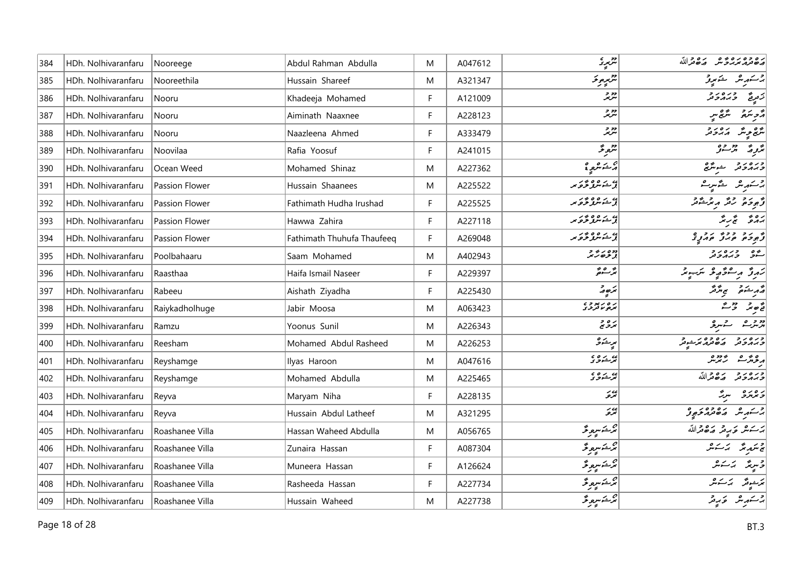| 384 | HDh. Nolhivaranfaru | Nooreege              | Abdul Rahman Abdulla       | M  | A047612 | دد<br>مترسمي د                         | ره ده ره ده و به دالله                                                |
|-----|---------------------|-----------------------|----------------------------|----|---------|----------------------------------------|-----------------------------------------------------------------------|
| 385 | HDh. Nolhivaranfaru | Nooreethila           | Hussain Shareef            | M  | A321347 | چژ <sub>مورم</sub> وکر                 | چەسىر شەھىرى                                                          |
| 386 | HDh. Nolhivaranfaru | Nooru                 | Khadeeja Mohamed           | F. | A121009 | دو و<br>سرچر                           | زَمْرِيحَ وَرَوْرُو                                                   |
| 387 | HDh. Nolhivaranfaru | Nooru                 | Aiminath Naaxnee           | F. | A228123 | دو و<br>سرپر                           | و المعرفية المستنقصر                                                  |
| 388 | HDh. Nolhivaranfaru | Nooru                 | Naazleena Ahmed            | F  | A333479 | دو و<br>سرپر                           |                                                                       |
| 389 | HDh. Nolhivaranfaru | Noovilaa              | Rafia Yoosuf               | F  | A241015 | يترعر محر                              | ترور برجو                                                             |
| 390 | HDh. Nolhivaranfaru | Ocean Weed            | Mohamed Shinaz             | M  | A227362 | وكمشكرهم فلمح                          | ورور و شرشی                                                           |
| 391 | HDh. Nolhivaranfaru | Passion Flower        | Hussain Shaanees           | M  | A225522 | ،، ئەشىر بۇ ئەر<br>بۇ ئىشىر بۇ ئۆتۈس   | جر سکور مگر مگر میں میں منصوب کے م                                    |
| 392 | HDh. Nolhivaranfaru | <b>Passion Flower</b> | Fathimath Hudha Irushad    | F  | A225525 | » ئەشەھرىمى ئەر                        |                                                                       |
| 393 | HDh. Nolhivaranfaru | <b>Passion Flower</b> | Hawwa Zahira               | F  | A227118 | » ئەشەھرىمى ئەر                        | برە ئەربۇ                                                             |
| 394 | HDh. Nolhivaranfaru | <b>Passion Flower</b> | Fathimath Thuhufa Thaufeeq | F. | A269048 | » ئەھەم ئەر<br>بۇ ھەملە ئۆھ بىر        |                                                                       |
| 395 | HDh. Nolhivaranfaru | Poolbahaaru           | Saam Mohamed               | M  | A402943 | دده ر بر د<br>بر نون تر نر             | ده دره دو                                                             |
| 396 | HDh. Nolhivaranfaru | Raasthaa              | Haifa Ismail Naseer        | F  | A229397 | پر ٥ پر<br>مرسس                        | تەر ئەر مەن ئۇر ئىستىر                                                |
| 397 | HDh. Nolhivaranfaru | Rabeeu                | Aishath Ziyadha            | F  | A225430 | برَه د                                 | و د شرح ب <sub>ح</sub> برگر<br>م                                      |
| 398 | HDh. Nolhivaranfaru | Raiykadholhuge        | Jabir Moosa                | M  | A063423 | ر ۵ ریز و c<br>بور د تولو ی            | أَيَّ صِبْرٍ حِيْثَ                                                   |
| 399 | HDh. Nolhivaranfaru | Ramzu                 | Yoonus Sunil               | M  | A226343 | ر ه و<br>مرو م                         | ود د مه سمبرو<br>مرس                                                  |
| 400 | HDh. Nolhivaranfaru | Reesham               | Mohamed Abdul Rasheed      | M  | A226253 | ىرىشەۋ                                 | ورەر د رەۋەر<br><i>دېرم</i> ونر مەھىرم <i>ە ب</i> رىش <sub>و</sub> نر |
| 401 | HDh. Nolhivaranfaru | Reyshamge             | Ilyas Haroon               | M  | A047616 | ړے د c<br>مرشتوس                       | مروح ودوه                                                             |
| 402 | HDh. Nolhivaranfaru | Reyshamge             | Mohamed Abdulla            | M  | A225465 | ړے ده د<br>مرشتو <del>ر</del> و        | ورەرو رەولله                                                          |
| 403 | HDh. Nolhivaranfaru | Reyva                 | Maryam Niha                | F  | A228135 | یں ر<br>موح                            | د بر د د سرگ                                                          |
| 404 | HDh. Nolhivaranfaru | Reyva                 | Hussain Abdul Latheef      | M  | A321295 | ىر<br>مور                              | י הוי הסינות בין                                                      |
| 405 | HDh. Nolhivaranfaru | Roashanee Villa       | Hassan Waheed Abdulla      | M  | A056765 | حريئة <sub>مبرجر</sub> محر<br> -<br> - | بركوها التهامي والمحافر الله                                          |
| 406 | HDh. Nolhivaranfaru | Roashanee Villa       | Zunaira Hassan             | F  | A087304 | م<br>مشاهد موقع المحركة<br>مستقبل      | تمسكر يمسك المستحمل                                                   |
| 407 | HDh. Nolhivaranfaru | Roashanee Villa       | Muneera Hassan             | F. | A126624 | ىر ئەسىر بىر<br>مەسىر                  | وَسِرِیْرَ یَرَسَیْر                                                  |
| 408 | HDh. Nolhivaranfaru | Roashanee Villa       | Rasheeda Hassan            | F  | A227734 | ئۇيغەمبىرى <i>د</i> ۇ                  | ىكەشوقگە كەسكەنلى                                                     |
| 409 | HDh. Nolhivaranfaru | Roashanee Villa       | Hussain Waheed             | M  | A227738 | ئىرىشە سرەپە قە                        | جر سكور مثر المحر وتر                                                 |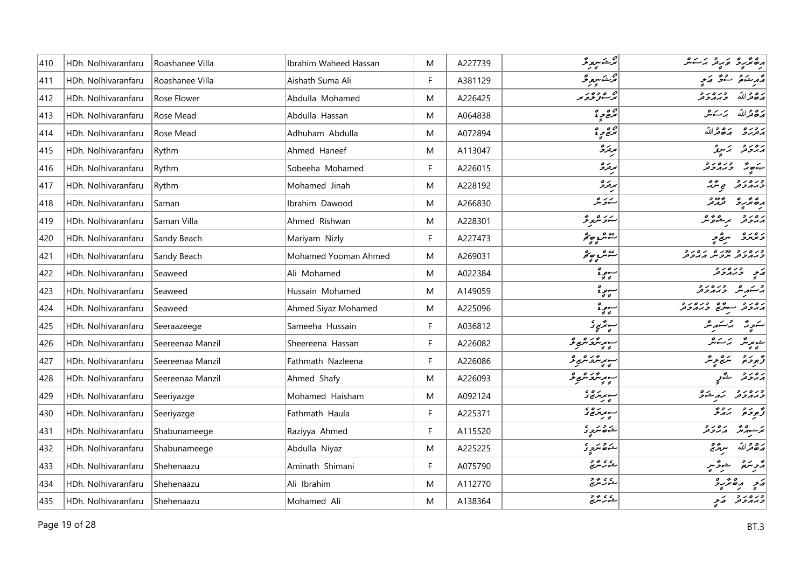| 410 | HDh. Nolhivaranfaru | Roashanee Villa  | Ibrahim Waheed Hassan | M         | A227739 | چرىنە <sub>سرجە</sub> ئىز<br>مەسىمەت | مەھەر ئەر ئەر ئەسەس                                                                                                                                                                                                        |
|-----|---------------------|------------------|-----------------------|-----------|---------|--------------------------------------|----------------------------------------------------------------------------------------------------------------------------------------------------------------------------------------------------------------------------|
| 411 | HDh. Nolhivaranfaru | Roashanee Villa  | Aishath Suma Ali      | F         | A381129 | ئۇيغۇرىيەتىرى<br>                    | أصمر شوة الشرق أصغر                                                                                                                                                                                                        |
| 412 | HDh. Nolhivaranfaru | Rose Flower      | Abdulla Mohamed       | M         | A226425 | ە رە دېمەر<br>ئىرسىن مۇغۇبىر         | مَصْعَرِ اللَّهُ حَ مِرْ وَ مَرْ                                                                                                                                                                                           |
| 413 | HDh. Nolhivaranfaru | Rose Mead        | Abdulla Hassan        | M         | A064838 | ە ھ<br>ئىرىمى ھەيج                   | رەقراللە بەئەر                                                                                                                                                                                                             |
| 414 | HDh. Nolhivaranfaru | Rose Mead        | Adhuham Abdulla       | M         | A072894 | ە ھ<br>ئىرىمى ھەيج                   | بروره بره قرالله                                                                                                                                                                                                           |
| 415 | HDh. Nolhivaranfaru | <b>Rythm</b>     | Ahmed Haneef          | M         | A113047 | برترو                                | پرورو پرس                                                                                                                                                                                                                  |
| 416 | HDh. Nolhivaranfaru | Rythm            | Sobeeha Mohamed       | F         | A226015 | برترو                                | پنه په دره در                                                                                                                                                                                                              |
| 417 | HDh. Nolhivaranfaru | Rythm            | Mohamed Jinah         | ${\sf M}$ | A228192 | برترو                                | ورەرو يېش.                                                                                                                                                                                                                 |
| 418 | HDh. Nolhivaranfaru | Saman            | Ibrahim Dawood        | M         | A266830 | سەخەتىر                              | ת סית הם ניחד ב                                                                                                                                                                                                            |
| 419 | HDh. Nolhivaranfaru | Saman Villa      | Ahmed Rishwan         | M         | A228301 | سەئە ئىرو ئە                         | رەرو برىشۇش                                                                                                                                                                                                                |
| 420 | HDh. Nolhivaranfaru | Sandy Beach      | Mariyam Nizly         | F.        | A227473 | يحمشوه كالحج                         | د پرېزو سرچ يې                                                                                                                                                                                                             |
| 421 | HDh. Nolhivaranfaru | Sandy Beach      | Mohamed Yooman Ahmed  | M         | A269031 | يمشي موكو                            | כנסג כ- <mark>כב</mark> ג הסג כ<br><mark>כ</mark> גהכת- תכית- הגבת                                                                                                                                                         |
| 422 | HDh. Nolhivaranfaru | Seaweed          | Ali Mohamed           | M         | A022384 | سومٍ ؟<br>پوځ                        | أثمو وره رد                                                                                                                                                                                                                |
| 423 | HDh. Nolhivaranfaru | Seaweed          | Hussain Mohamed       | M         | A149059 | سوم وي<br>پوځ                        | ج کے مرکز دیکھ دیا کی استفادہ کر دیکھ اور استعمال کے منصب کے منصب کے منصب کے منصب کے منصب کے منصب کے منصب<br>منصب کا منصب کا منصب کے منصب کے منصب کے منصب کر استعمال کر منصب کے منصب کے منصب کے منصب کے منصب کے منصب کر کر |
| 424 | HDh. Nolhivaranfaru | Seaweed          | Ahmed Siyaz Mohamed   | M         | A225096 | سومٍ ؟<br>پوځ                        | גם גב גם בגבבת<br>גגבת גיות בגבבת                                                                                                                                                                                          |
| 425 | HDh. Nolhivaranfaru | Seeraazeege      | Sameeha Hussain       | F         | A036812 | سەمدىمى<br>ئ                         | سكويگا الاسكريلل<br>سكويگا الاسكريلل<br>سكويوسگا الاسكريلل                                                                                                                                                                 |
| 426 | HDh. Nolhivaranfaru | Seereenaa Manzil | Sheereena Hassan      | F         | A226082 | <br> - يرىترى شىخ                    |                                                                                                                                                                                                                            |
| 427 | HDh. Nolhivaranfaru | Seereenaa Manzil | Fathmath Nazleena     | F         | A226086 | سىرىترىز ئىي<br><u>ئى</u>            | ومودة التمادية                                                                                                                                                                                                             |
| 428 | HDh. Nolhivaranfaru | Seereenaa Manzil | Ahmed Shafy           | M         | A226093 | <br> - ئەسترىترى شىم قى              | رەرد ئىگم                                                                                                                                                                                                                  |
| 429 | HDh. Nolhivaranfaru | Seeriyazge       | Mohamed Haisham       | M         | A092124 | $rac{1}{557}$                        | ورەر دىر ئەر                                                                                                                                                                                                               |
| 430 | HDh. Nolhivaranfaru | Seeriyazge       | Fathmath Haula        | F         | A225371 | ر ه ه ه<br>سوموری ی                  | ۇپودۇ بەدۇ                                                                                                                                                                                                                 |
| 431 | HDh. Nolhivaranfaru | Shabunameege     | Raziyya Ahmed         | F         | A115520 | ے ک <i>ے سر<sub>ح کے</sub></i>       | بر ده پره ده                                                                                                                                                                                                               |
| 432 | HDh. Nolhivaranfaru | Shabunameege     | Abdulla Niyaz         | M         | A225225 | ے کا سر <sub>حی</sub> کی             | وحدالله<br>سرپڑ ج                                                                                                                                                                                                          |
| 433 | HDh. Nolhivaranfaru | Shehenaazu       | Aminath Shimani       | F         | A075790 | شەر شرچ                              | ۇ جە ئىبرى<br>مەنبەر<br>ے وگا سر<br>کے گا کا کا                                                                                                                                                                            |
| 434 | HDh. Nolhivaranfaru | Shehenaazu       | Ali Ibrahim           | M         | A112770 | شەر شەر                              | ړې ره پر د                                                                                                                                                                                                                 |
| 435 | HDh. Nolhivaranfaru | Shehenaazu       | Mohamed Ali           | ${\sf M}$ | A138364 | ے بر بر ح<br>مشرک مترج               | ورەرو كې                                                                                                                                                                                                                   |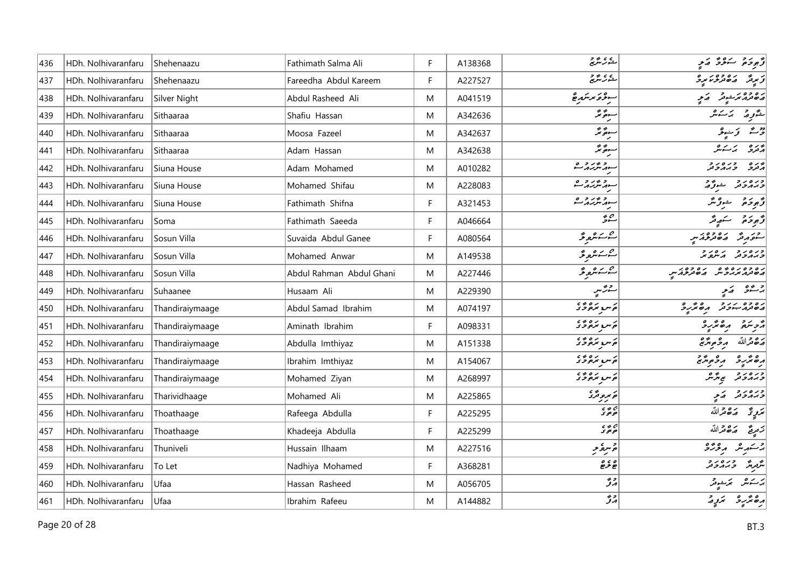| 436 | HDh. Nolhivaranfaru | Shehenaazu      | Fathimath Salma Ali      | F         | A138368 | شەر شەر                        | وتجوزه سكوة أيمي                                          |
|-----|---------------------|-----------------|--------------------------|-----------|---------|--------------------------------|-----------------------------------------------------------|
| 437 | HDh. Nolhivaranfaru | Shehenaazu      | Fareedha Abdul Kareem    | F         | A227527 | ے بر بر ح<br>مشر بر متر پنج    | زېږمر په ده ده د پرو                                      |
| 438 | HDh. Nolhivaranfaru | Silver Night    | Abdul Rasheed Ali        | M         | A041519 | سوقو برسكر هج                  | גפרפ התוכני הב                                            |
| 439 | HDh. Nolhivaranfaru | Sithaaraa       | Shafiu Hassan            | M         | A342636 | سوەتچە تىر                     | ڪورڻ پرڪش                                                 |
| 440 | HDh. Nolhivaranfaru | Sithaaraa       | Moosa Fazeel             | M         | A342637 | سوە ئەتتە                      | لتزمئز كرسوى                                              |
| 441 | HDh. Nolhivaranfaru | Sithaaraa       | Adam Hassan              | M         | A342638 | ا مستوفي تنگر<br>بر            | پر پر پر سکامل                                            |
| 442 | HDh. Nolhivaranfaru | Siuna House     | Adam Mohamed             | M         | A010282 | - پر شریر م                    | و ره ر و<br>تر پر ژنر<br>په ره<br>د تعرو                  |
| 443 | HDh. Nolhivaranfaru | Siuna House     | Mohamed Shifau           | M         | A228083 |                                | ورەر دېگرو                                                |
| 444 | HDh. Nolhivaranfaru | Siuna House     | Fathimath Shifna         | F         | A321453 |                                | ھوڙ پڙ<br>__<br>وٌموحَم                                   |
| 445 | HDh. Nolhivaranfaru | Soma            | Fathimath Saeeda         | F         | A046664 | يحيحه                          | رُّمِودَهُ سَهِيدٌ                                        |
| 446 | HDh. Nolhivaranfaru | Sosun Villa     | Suvaida Abdul Ganee      | F         | A080564 | <u>ح سەمبۇ ئە</u>              | בנגל גם בפנית                                             |
| 447 | HDh. Nolhivaranfaru | Sosun Villa     | Mohamed Anwar            | M         | A149538 | 2 سەنگ <sub>ى</sub> رىگە       | כנסנכ גםנכ<br>כגובע גיינפיג                               |
| 448 | HDh. Nolhivaranfaru | Sosun Villa     | Abdul Rahman Abdul Ghani | M         | A227446 | 2 سەنلى <sub>رىم</sub> ۇ       | ره وه ره ده مره وه در بر<br>پره تربر تر تر می تر تر تر بر |
| 449 | HDh. Nolhivaranfaru | Suhaanee        | Husaam Ali               | M         | A229390 | مشرشير<br>ا                    | ابر سعود المجمع                                           |
| 450 | HDh. Nolhivaranfaru | Thandiraiymaage | Abdul Samad Ibrahim      | M         | A074197 | ە سرە ئەھ دى                   | נסכם נגב בסיבים<br>הסנג-יכנג גם גרב                       |
| 451 | HDh. Nolhivaranfaru | Thandiraiymaage | Aminath Ibrahim          | F         | A098331 | ئەسىرىمگە ئەتم                 | أزوينه وقديرة                                             |
| 452 | HDh. Nolhivaranfaru | Thandiraiymaage | Abdulla Imthiyaz         | M         | A151338 | پر مره و و ،<br>  پر مرجوحری   | يەھ قراللە<br>برد مورژی                                   |
| 453 | HDh. Nolhivaranfaru | Thandiraiymaage | Ibrahim Imthiyaz         | M         | A154067 | پر مره و و ،<br>  پر مرجوحری   | ە ھەترىرى<br>مەھترىرى<br>برد مورژنج                       |
| 454 | HDh. Nolhivaranfaru | Thandiraiymaage | Mohamed Ziyan            | M         | A268997 | پښتو پره وي <del>.</del><br> - | و ره ر و<br>تر پر ژ تر<br>ىم تر شر                        |
| 455 | HDh. Nolhivaranfaru | Tharividhaage   | Mohamed Ali              | M         | A225865 | <br> حومرو تری                 | وره رو د کو                                               |
| 456 | HDh. Nolhivaranfaru | Thoathaage      | Rafeega Abdulla          | F         | A225295 | ج ء ۽<br>  حو حو ت             | بَرَوِيَّة سَ٥٥ مَرَّاللَّهُ                              |
| 457 | HDh. Nolhivaranfaru | Thoathaage      | Khadeeja Abdulla         | F         | A225299 | ج ءِ ج<br>حوص                  | كتعريج كده قرالله                                         |
| 458 | HDh. Nolhivaranfaru | Thuniveli       | Hussain Ilhaam           | ${\sf M}$ | A227516 | ة سرء مو<br>م                  | برحتهر مرورده                                             |
| 459 | HDh. Nolhivaranfaru | To Let          | Nadhiya Mohamed          | F         | A368281 | ه ء و<br>ح <del>گ</del> ريخ    | أشرير وره دو                                              |
| 460 | HDh. Nolhivaranfaru | Ufaa            | Hassan Rasheed           | M         | A056705 | پۇ                             | يركسكر التركسيونر                                         |
| 461 | HDh. Nolhivaranfaru | Ufaa            | Ibrahim Rafeeu           | ${\sf M}$ | A144882 | پرس                            | رە ئرىر ئىرى                                              |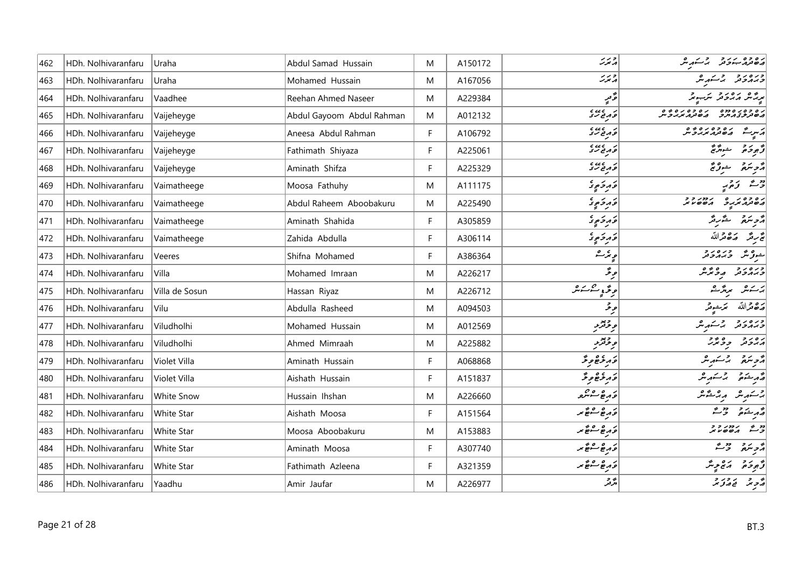| 462 | HDh. Nolhivaranfaru | Uraha             | Abdul Samad Hussain       | M  | A150172 | ەرىر                         | ره وه بربر و حسکه ش                                        |
|-----|---------------------|-------------------|---------------------------|----|---------|------------------------------|------------------------------------------------------------|
| 463 | HDh. Nolhivaranfaru | Uraha             | Mohamed Hussain           | M  | A167056 | ەرىر                         | ورەرو پرسىمەش                                              |
| 464 | HDh. Nolhivaranfaru | Vaadhee           | Reehan Ahmed Naseer       | M  | A229384 | ر<br>ح م <sub>ي</sub>        | بررمه رورد برجو                                            |
| 465 | HDh. Nolhivaranfaru | Vaijeheyge        | Abdul Gayoom Abdul Rahman | M  | A012132 | ر<br>تو در ج ر د             |                                                            |
| 466 | HDh. Nolhivaranfaru | Vaijeheyge        | Aneesa Abdul Rahman       | F  | A106792 | ر<br>تو در ج ر د             | ر ه د ه د ه د ه<br>پره تربر <del>ت</del> ر بر<br> رسبر معم |
| 467 | HDh. Nolhivaranfaru | Vaijeheyge        | Fathimath Shiyaza         | F. | A225061 | ر<br>تو دي ري                | و و د و شورځ کم                                            |
| 468 | HDh. Nolhivaranfaru | Vaijeheyge        | Aminath Shifza            | F. | A225329 | ر<br>تومرچ ر <sub>ئ</sub>    | ومحر سرة<br>شەۋڭج                                          |
| 469 | HDh. Nolhivaranfaru | Vaimatheege       | Moosa Fathuhy             | M  | A111175 | ې د ځمونه<br>مرخ و           | دو به زهر                                                  |
| 470 | HDh. Nolhivaranfaru | Vaimatheege       | Abdul Raheem Aboobakuru   | M  | A225490 | ى<br>قەر خوچ                 | 77/77/7<br>ן פי פי גם<br>גם בקו <i>ג ב</i> ר               |
| 471 | HDh. Nolhivaranfaru | Vaimatheege       | Aminath Shahida           | F. | A305859 | و مر د ځمو د                 | أرمز ترة<br>ے مقرر <i>وقر</i>                              |
| 472 | HDh. Nolhivaranfaru | Vaimatheege       | Zahida Abdulla            | F. | A306114 | ى<br>مۇمرىخ م <sub>ۇ</sub> ئ | يُحْرِمَّهُ صَدَّدَاللَّهُ                                 |
| 473 | HDh. Nolhivaranfaru | Veeres            | Shifna Mohamed            | F  | A386364 | <sub>عو</sub> یز ک           | ے وی درہ در<br>جوتر ویروفر                                 |
| 474 | HDh. Nolhivaranfaru | Villa             | Mohamed Imraan            | M  | A226217 | وِ تَرُ                      | و ر ه ر و<br>د بر پر تر<br>ەر ئە ئىرىش                     |
| 475 | HDh. Nolhivaranfaru | Villa de Sosun    | Hassan Riyaz              | M  | A226712 | ە <sub>م</sub> ۇ يې شەسەتكە  | ىز سەش بىرەر شە                                            |
| 476 | HDh. Nolhivaranfaru | Vilu              | Abdulla Rasheed           | M  | A094503 | حرقحه                        | أرة قرالله تمرشونر                                         |
| 477 | HDh. Nolhivaranfaru | Viludholhi        | Mohamed Hussain           | M  | A012569 | وتخترمر                      | و ر ه ر د<br>تر پر تر تر<br>برسەمەر                        |
| 478 | HDh. Nolhivaranfaru | Viludholhi        | Ahmed Mimraah             | M  | A225882 | وتخترمر                      | رەر دەرد                                                   |
| 479 | HDh. Nolhivaranfaru | Violet Villa      | Aminath Hussain           | F. | A068868 | ءَ مرځه عوڅه                 | مەمەسىم ئەسكىرىش                                           |
| 480 | HDh. Nolhivaranfaru | Violet Villa      | Aishath Hussain           | F  | A151837 | ءَ ٻر ڦري و ڦر               | مەر شىم بىر شىر بىر                                        |
| 481 | HDh. Nolhivaranfaru | <b>White Snow</b> | Hussain Ihshan            | M  | A226660 | ءَ ٻه ڇ ڪيترو                | برسكريش وبرحقش                                             |
| 482 | HDh. Nolhivaranfaru | <b>White Star</b> | Aishath Moosa             | F. | A151564 | ءَرءُ سُءَ م                 | پ <sup>ر</sup> در شده.<br>در کشوه                          |
| 483 | HDh. Nolhivaranfaru | <b>White Star</b> | Moosa Aboobakuru          | M  | A153883 | ءَرءُ سُوءَ بر               | دیں مشر<br>77/77/                                          |
| 484 | HDh. Nolhivaranfaru | <b>White Star</b> | Aminath Moosa             | F. | A307740 | ءَرءُ سُوءَ بر               | أرمو سرقم والمستمر                                         |
| 485 | HDh. Nolhivaranfaru | <b>White Star</b> | Fathimath Azleena         | F  | A321359 | الحديث مقيم                  | ژ <sub>بوخ</sub> و پ <sub>و</sub> یر                       |
| 486 | HDh. Nolhivaranfaru | Yaadhu            | Amir Jaufar               | M  | A226977 | پڑ پڑ                        | أشجاش والمحادثة                                            |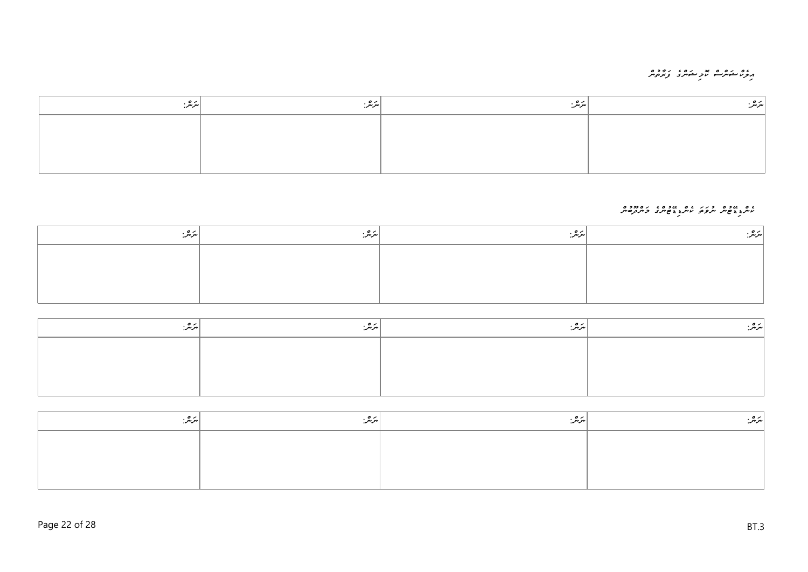## *w7qAn8m? sCw7mRo>u; wEw7mRw;sBo<*

| ' مرمر | 'يئرىثر: |
|--------|----------|
|        |          |
|        |          |
|        |          |

## *w7q9r@w7m> sCw7qHtFoFw7s; mAm=q7 w7qHtFoFw7s;*

| ىر تە | $\mathcal{O} \times$<br>$\sim$ | $\sim$<br>. . | لترنثر |
|-------|--------------------------------|---------------|--------|
|       |                                |               |        |
|       |                                |               |        |
|       |                                |               |        |

| $\frac{\partial}{\partial x}$ | $^{\circ}$ | $\frac{2}{n}$ | $^{\circ}$<br>سرسر. |
|-------------------------------|------------|---------------|---------------------|
|                               |            |               |                     |
|                               |            |               |                     |
|                               |            |               |                     |

| ىرتىر: | 。<br>سر سر | .,<br>مرسر |
|--------|------------|------------|
|        |            |            |
|        |            |            |
|        |            |            |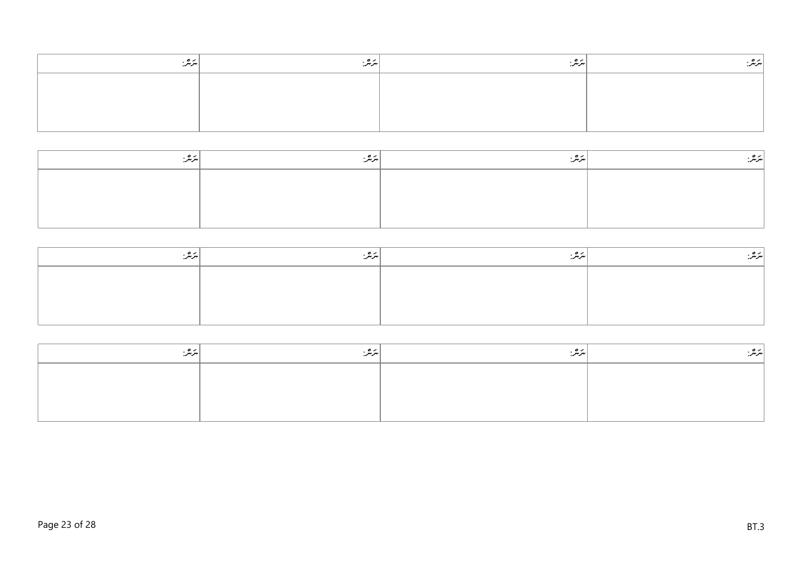| يره. | ο. | ا ير ه |  |
|------|----|--------|--|
|      |    |        |  |
|      |    |        |  |
|      |    |        |  |

| <sup>.</sup> سرسر. |  |
|--------------------|--|
|                    |  |
|                    |  |
|                    |  |

| ىئرىتر. | $\sim$ | ا بر هه. | لىرىش |
|---------|--------|----------|-------|
|         |        |          |       |
|         |        |          |       |
|         |        |          |       |

| 。<br>مرس. | $\overline{\phantom{a}}$<br>مر مىر | يتريثر |
|-----------|------------------------------------|--------|
|           |                                    |        |
|           |                                    |        |
|           |                                    |        |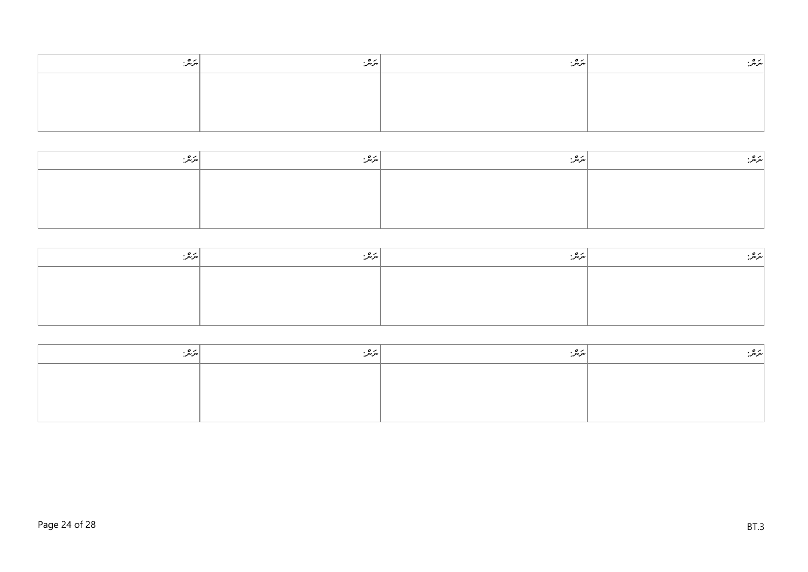| ير هو . | $\overline{\phantom{a}}$ | يرمر | اير هنه. |
|---------|--------------------------|------|----------|
|         |                          |      |          |
|         |                          |      |          |
|         |                          |      |          |

| ىبرىر. | $\sim$<br>ا سرسر . | يئرمثر | o . |
|--------|--------------------|--------|-----|
|        |                    |        |     |
|        |                    |        |     |
|        |                    |        |     |

| الترنثر: | ' مرتكز: | الترنثر: | .,<br>سرسر. |
|----------|----------|----------|-------------|
|          |          |          |             |
|          |          |          |             |
|          |          |          |             |

|  | . ه |
|--|-----|
|  |     |
|  |     |
|  |     |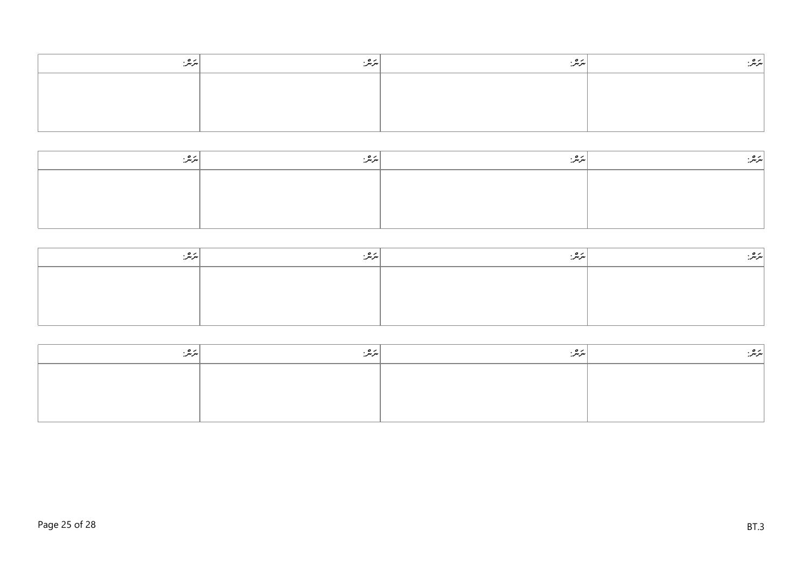| ير هو . | $\overline{\phantom{a}}$ | يرمر | اير هنه. |
|---------|--------------------------|------|----------|
|         |                          |      |          |
|         |                          |      |          |
|         |                          |      |          |

| ىر تىر: | $\circ$ $\sim$<br>" سرسر . | يبرحه | o . |
|---------|----------------------------|-------|-----|
|         |                            |       |     |
|         |                            |       |     |
|         |                            |       |     |

| الترنثر: | ' مرتكز: | الترنثر: | .,<br>سرسر. |
|----------|----------|----------|-------------|
|          |          |          |             |
|          |          |          |             |
|          |          |          |             |

|  | . ه |
|--|-----|
|  |     |
|  |     |
|  |     |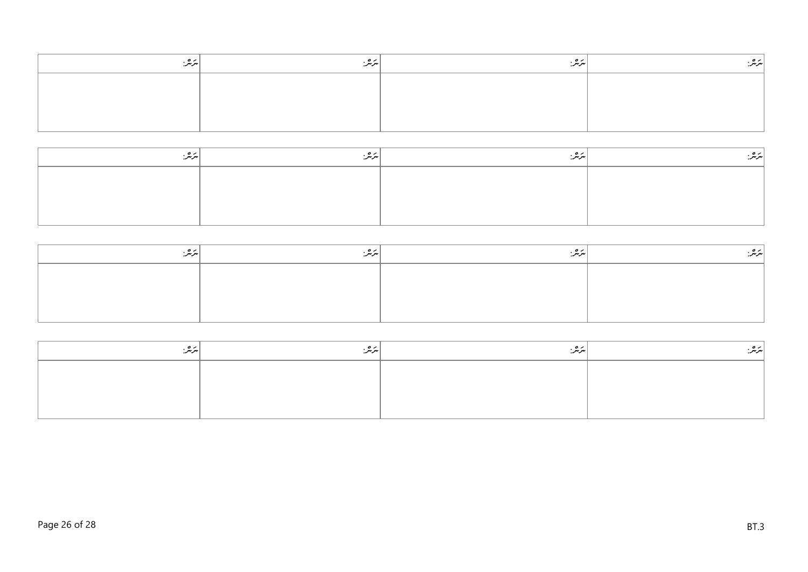| $\cdot$ | ο. | $\frac{\circ}{\cdot}$ | $\sim$<br>سرسر |
|---------|----|-----------------------|----------------|
|         |    |                       |                |
|         |    |                       |                |
|         |    |                       |                |

| يريثن | ' سرسر . |  |
|-------|----------|--|
|       |          |  |
|       |          |  |
|       |          |  |

| بر ه | 。 | $\overline{\phantom{0}}$<br>َ سومس. |  |
|------|---|-------------------------------------|--|
|      |   |                                     |  |
|      |   |                                     |  |
|      |   |                                     |  |

| 。<br>. س | ىرىىر |  |
|----------|-------|--|
|          |       |  |
|          |       |  |
|          |       |  |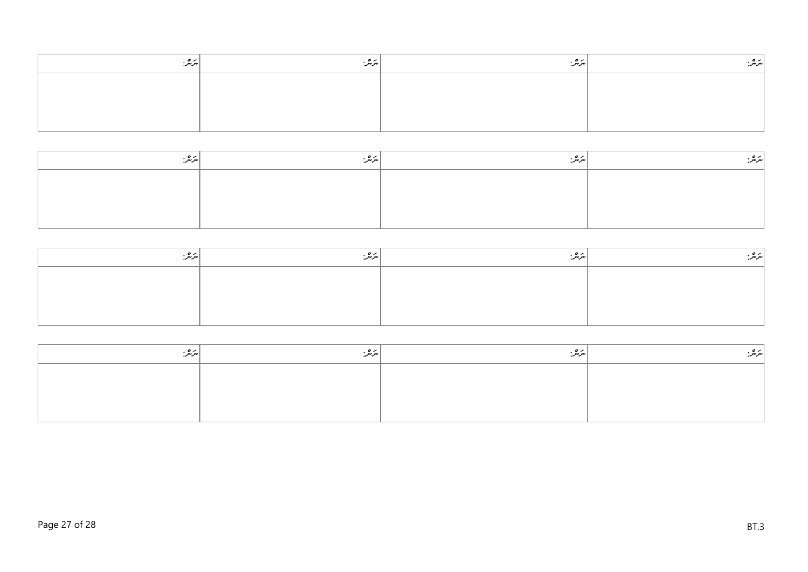| ير هو . | $\overline{\phantom{a}}$ | يرمر | لتزمثن |
|---------|--------------------------|------|--------|
|         |                          |      |        |
|         |                          |      |        |
|         |                          |      |        |

| ىبرىر. | $\sim$<br>ا سرسر . | يئرمثر | o . |
|--------|--------------------|--------|-----|
|        |                    |        |     |
|        |                    |        |     |
|        |                    |        |     |

| 'تترنثر: | . .<br>يسمونس. |  |
|----------|----------------|--|
|          |                |  |
|          |                |  |
|          |                |  |

|  | . ه |
|--|-----|
|  |     |
|  |     |
|  |     |